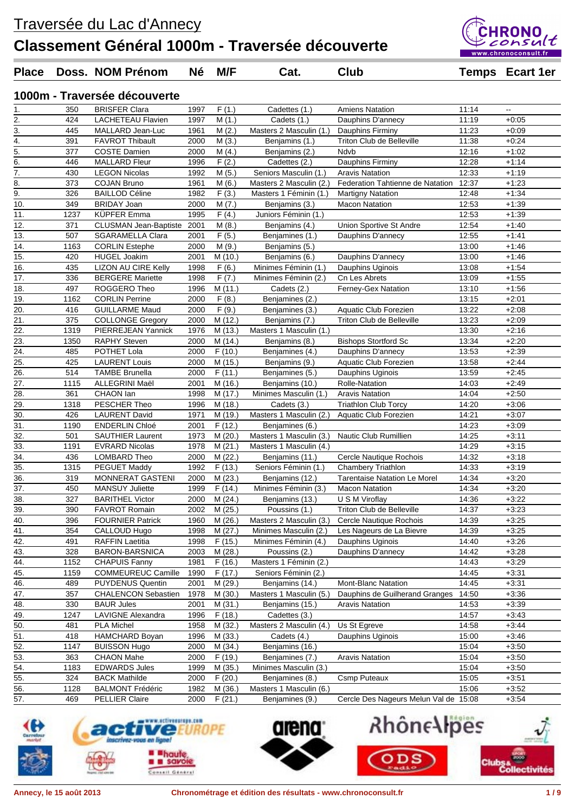

### **Place Doss. NOM Prénom Né M/F Cat. Club Temps Ecart 1er**

**1000m - Traversée découverte**

| 1.                | 350  | <b>BRISFER Clara</b>                             | 1997 | F(1.)   | Cadettes (1.)           | <b>Amiens Natation</b>                | 11:14 | ۰.                 |
|-------------------|------|--------------------------------------------------|------|---------|-------------------------|---------------------------------------|-------|--------------------|
| 2.                | 424  | <b>LACHETEAU Flavien</b>                         | 1997 | M(1.)   | Cadets (1.)             | Dauphins D'annecy                     | 11:19 | $+0:05$            |
| 3.                | 445  | MALLARD Jean-Luc                                 | 1961 | M(2.)   | Masters 2 Masculin (1.) | Dauphins Firminy                      | 11:23 | $+0:09$            |
| 4.                | 391  | <b>FAVROT Thibault</b>                           | 2000 | M(3.)   | Benjamins (1.)          | Triton Club de Belleville             | 11:38 | $+0:24$            |
| 5.                | 377  | <b>COSTE Damien</b>                              | 2000 | M(4.)   | Benjamins (2.)          | Ndvb                                  | 12:16 | $+1:02$            |
| 6.                | 446  | <b>MALLARD Fleur</b>                             | 1996 | F(2.)   | Cadettes (2.)           | Dauphins Firminy                      | 12:28 | $+1:14$            |
| 7.                | 430  | <b>LEGON Nicolas</b>                             | 1992 | M(5.)   | Seniors Masculin (1.)   | <b>Aravis Natation</b>                | 12:33 | $+1:19$            |
| 8.                | 373  | <b>COJAN Bruno</b>                               | 1961 | M(6.)   | Masters 2 Masculin (2.) | Federation Tahtienne de Natation      | 12:37 | $+1:23$            |
| 9.                | 326  | <b>BAILLOD Céline</b>                            | 1982 | F(3.)   | Masters 1 Féminin (1.)  | <b>Martigny Natation</b>              | 12:48 | $+1:34$            |
| 10.               | 349  | <b>BRIDAY Joan</b>                               | 2000 | M(7.)   | Benjamins (3.)          | <b>Macon Natation</b>                 | 12:53 | $+1:39$            |
| 11.               | 1237 | <b>KÜPFER Emma</b>                               | 1995 | F(4.)   | Juniors Féminin (1.)    |                                       | 12:53 | $+1:39$            |
| 12.               | 371  | <b>CLUSMAN Jean-Baptiste</b>                     | 2001 | M(8.)   | Benjamins (4.)          | Union Sportive St Andre               | 12:54 | $+1:40$            |
| 13.               | 507  | <b>SGARAMELLA Clara</b>                          | 2001 | F(5.)   | Benjamines (1.)         | Dauphins D'annecy                     | 12:55 | $+1:41$            |
| 14.               | 1163 | <b>CORLIN Estephe</b>                            | 2000 | M(9.)   | Benjamins (5.)          |                                       | 13:00 | $+1:46$            |
| 15.               | 420  | <b>HUGEL Joakim</b>                              | 2001 | M (10.) | Benjamins (6.)          | Dauphins D'annecy                     | 13:00 | $+1:46$            |
| 16.               | 435  | LIZON AU CIRE Kelly                              | 1998 | F(6.)   | Minimes Féminin (1.)    | Dauphins Uginois                      | 13:08 | $+1:54$            |
| 17.               | 336  | <b>BERGERE</b> Mariette                          | 1998 | F(7.)   | Minimes Féminin (2.)    | Cn Les Abrets                         | 13:09 | $+1:55$            |
| 18.               | 497  | ROGGERO Theo                                     | 1996 | M(11.)  | Cadets (2.)             | Ferney-Gex Natation                   | 13:10 | $+1:56$            |
| 19.               | 1162 | <b>CORLIN Perrine</b>                            | 2000 | F(8.)   | Benjamines (2.)         |                                       | 13:15 | $+2:01$            |
| $\overline{20}$ . | 416  | <b>GUILLARME Maud</b>                            | 2000 | F(9.)   | Benjamines (3.)         | Aquatic Club Forezien                 | 13:22 | $+2:08$            |
| 21.               | 375  | <b>COLLONGE Gregory</b>                          | 2000 | M (12.) | Benjamins (7.)          | <b>Triton Club de Belleville</b>      | 13:23 | $+2:09$            |
| 22.               | 1319 | PIERREJEAN Yannick                               | 1976 | M (13.) | Masters 1 Masculin (1.) |                                       | 13:30 | $+2:16$            |
| 23.               | 1350 | <b>RAPHY Steven</b>                              | 2000 | M (14.) | Benjamins (8.)          | <b>Bishops Stortford Sc</b>           | 13:34 | $+2:20$            |
| 24.               | 485  | POTHET Lola                                      | 2000 | F(10.)  | Benjamines (4.)         | Dauphins D'annecy                     | 13:53 | $+2:39$            |
| 25.               | 425  | <b>LAURENT Louis</b>                             | 2000 | M (15.) | Benjamins (9.)          | Aquatic Club Forezien                 | 13:58 | $+2:44$            |
| $\frac{1}{26}$    | 514  | <b>TAMBE Brunella</b>                            | 2000 | F(11.)  | Benjamines (5.)         | Dauphins Uginois                      | 13:59 | $+2:45$            |
| 27.               | 1115 | ALLEGRINI Maël                                   | 2001 | M (16.) | Benjamins (10.)         | <b>Rolle-Natation</b>                 | 14:03 | $+2:49$            |
| 28.               | 361  | CHAON lan                                        | 1998 | M (17.) | Minimes Masculin (1.)   | <b>Aravis Natation</b>                | 14:04 | $+2:50$            |
| 29.               | 1318 | PESCHER Theo                                     | 1996 | M (18.) | Cadets (3.)             | <b>Triathlon Club Torcy</b>           | 14:20 | $+3:06$            |
| 30.               | 426  | LAURENT David                                    | 1971 | M (19.) | Masters 1 Masculin (2.) | Aquatic Club Forezien                 | 14:21 | $+3:07$            |
| $\overline{31}$ . | 1190 | <b>ENDERLIN Chloé</b>                            | 2001 | F(12.)  | Benjamines (6.)         |                                       | 14:23 | $+3:09$            |
| 32.               | 501  | <b>SAUTHIER Laurent</b>                          | 1973 | M(20.)  | Masters 1 Masculin (3.) | Nautic Club Rumillien                 | 14:25 | $+3:11$            |
| 33.               | 1191 | <b>EVRARD Nicolas</b>                            | 1978 | M(21.)  | Masters 1 Masculin (4.) |                                       | 14:29 | $+3:15$            |
| 34.               | 436  | LOMBARD Theo                                     | 2000 | M(22.)  | Benjamins (11.)         | Cercle Nautique Rochois               | 14:32 | $+3:18$            |
|                   | 1315 | <b>PEGUET Maddy</b>                              | 1992 | F(13.)  | Seniors Féminin (1.)    | <b>Chambery Triathlon</b>             | 14:33 | $+3:19$            |
| 35.<br>36.        | 319  |                                                  | 2000 |         | Benjamins (12.)         | <b>Tarentaise Natation Le Morel</b>   | 14:34 | $+3:20$            |
| $\overline{37}$ . | 450  | MONNERAT GASTENI                                 |      | M(23.)  |                         | <b>Macon Natation</b>                 |       |                    |
|                   | 327  | <b>MANSUY Juliette</b><br><b>BARITHEL Victor</b> | 1999 | F(14.)  | Minimes Féminin (3.)    |                                       | 14:34 | $+3:20$<br>$+3:22$ |
| 38.               |      |                                                  | 2000 | M(24.)  | Benjamins (13.)         | U S M Viroflay                        | 14:36 |                    |
| 39.               | 390  | <b>FAVROT Romain</b>                             | 2002 | M(25.)  | Poussins (1.)           | Triton Club de Belleville             | 14:37 | $+3:23$            |
| 40.               | 396  | <b>FOURNIER Patrick</b>                          | 1960 | M(26.)  | Masters 2 Masculin (3.) | Cercle Nautique Rochois               | 14:39 | $+3:25$            |
| 41.               | 354  | CALLOUD Hugo                                     | 1998 | M (27.) | Minimes Masculin (2.)   | Les Nageurs de La Bievre              | 14:39 | $+3:25$            |
| 42.               | 491  | <b>RAFFIN Laetitia</b>                           | 1998 | F(15.)  | Minimes Féminin (4.)    | Dauphins Uginois                      | 14:40 | $+3:26$            |
| 43.               | 328  | BARON-BARSNICA                                   | 2003 | M(28.)  | Poussins (2.)           | Dauphins D'annecy                     | 14:42 | $+3:28$            |
| 44.               | 1152 | <b>CHAPUIS Fanny</b>                             | 1981 | F(16.)  | Masters 1 Féminin (2.)  |                                       | 14:43 | $+3:29$            |
| 45.               | 1159 | <b>COMMEUREUC Camille</b>                        | 1990 | F(17.)  | Seniors Féminin (2.)    |                                       | 14:45 | $+3.31$            |
| 46.               | 489  | PUYDENUS Quentin                                 | 2001 | M (29.) | Benjamins (14.)         | Mont-Blanc Natation                   | 14:45 | $+3:31$            |
| 47.               | 357  | <b>CHALENCON Sebastien</b>                       | 1978 | M(30.)  | Masters 1 Masculin (5.) | Dauphins de Guilherand Granges        | 14:50 | $+3:36$            |
| 48.               | 330  | <b>BAUR Jules</b>                                | 2001 | M(31.)  | Benjamins (15.)         | <b>Aravis Natation</b>                | 14:53 | $+3:39$            |
| 49.               | 1247 | LAVIGNE Alexandra                                | 1996 | F(18.)  | Cadettes (3.)           |                                       | 14:57 | $+3:43$            |
| 50.               | 481  | <b>PLA Michel</b>                                | 1958 | M (32.) | Masters 2 Masculin (4.) | Us St Egreve                          | 14:58 | $+3:44$            |
| 51.               | 418  | HAMCHARD Boyan                                   | 1996 | M(33.)  | Cadets (4.)             | Dauphins Uginois                      | 15:00 | $+3:46$            |
| 52.               | 1147 | <b>BUISSON Hugo</b>                              | 2000 | M (34.) | Benjamins (16.)         |                                       | 15:04 | $+3:50$            |
| 53.               | 363  | <b>CHAON Mahe</b>                                | 2000 | F(19.)  | Benjamines (7.)         | <b>Aravis Natation</b>                | 15:04 | $+3:50$            |
| 54.               | 1183 | <b>EDWARDS Jules</b>                             | 1999 | M (35.) | Minimes Masculin (3.)   |                                       | 15:04 | $+3:50$            |
| 55.               | 324  | <b>BACK Mathilde</b>                             | 2000 | F(20.)  | Benjamines (8.)         | <b>Csmp Puteaux</b>                   | 15:05 | $+3.51$            |
| 56.               | 1128 | <b>BALMONT Frédéric</b>                          | 1982 | M (36.) | Masters 1 Masculin (6.) |                                       | 15:06 | $+3:52$            |
| 57.               | 469  | <b>PELLIER Claire</b>                            | 2000 | F(21.)  | Benjamines (9.)         | Cercle Des Nageurs Melun Val de 15:08 |       | $+3:54$            |





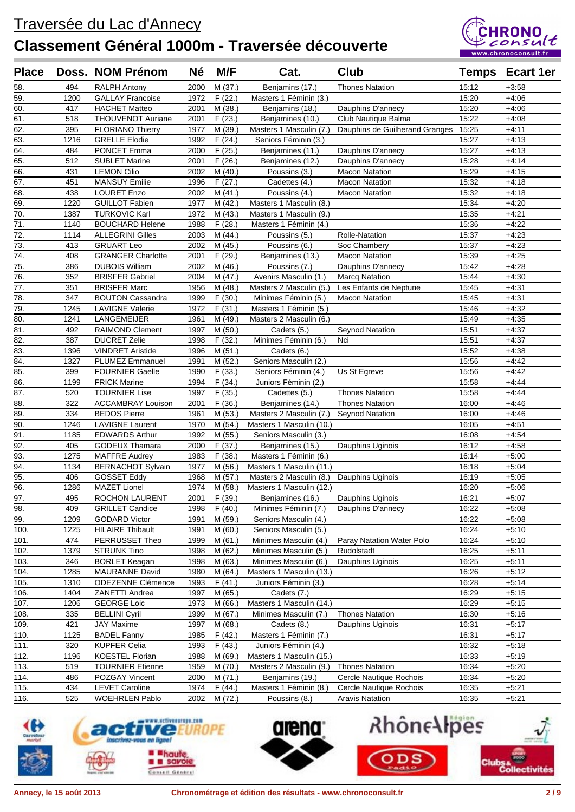

| <b>Place</b>      |             | Doss. NOM Prénom                                | <b>Né</b>    | M/F                  | Cat.                                           | <b>Club</b>                             |                | <b>Temps Ecart 1er</b> |
|-------------------|-------------|-------------------------------------------------|--------------|----------------------|------------------------------------------------|-----------------------------------------|----------------|------------------------|
| 58.               | 494         | <b>RALPH Antony</b>                             | 2000         | M(37.)               | Benjamins (17.)                                | <b>Thones Natation</b>                  | 15:12          | $+3:58$                |
| 59.               | 1200        | <b>GALLAY Francoise</b>                         | 1972         | F(22.)               | Masters 1 Féminin (3.)                         |                                         | 15:20          | $+4:06$                |
| 60.               | 417         | <b>HACHET Matteo</b>                            | 2001         | M(38.)               | Benjamins (18.)                                | Dauphins D'annecy                       | 15:20          | $+4:06$                |
| 61.               | 518         | THOUVENOT Auriane                               | 2001         | F(23.)               | Benjamines (10.)                               | Club Nautique Balma                     | 15:22          | $+4:08$                |
| 62.               | 395         | <b>FLORIANO Thierry</b>                         | 1977         | M (39.)              | Masters 1 Masculin (7.)                        | Dauphins de Guilherand Granges          | 15:25          | $+4:11$                |
| 63.               | 1216        | <b>GRELLE Elodie</b>                            | 1992         | $\overline{F}$ (24.) | Seniors Féminin (3.)                           |                                         | 15:27          | $+4:13$                |
| 64.               | 484         | PONCET Emma                                     | 2000         | F(25.)               | Benjamines (11.)                               | Dauphins D'annecy                       | 15:27          | $+4.13$                |
| 65.               | 512         | <b>SUBLET Marine</b>                            | 2001         | F(26.)               | Benjamines (12.)                               | Dauphins D'annecy                       | 15:28          | $+4.14$                |
| 66.               | 431         | <b>LEMON Cilio</b>                              | 2002         | M(40.)               | Poussins (3.)                                  | <b>Macon Natation</b>                   | 15:29          | $+4:15$                |
| 67.               | 451         | <b>MANSUY Emilie</b>                            | 1996         | F(27.)               | Cadettes (4.)                                  | <b>Macon Natation</b>                   | 15:32          | $+4:18$                |
| 68.               | 438         | <b>LOURET Enzo</b>                              | 2002         | M(41.)               | Poussins (4.)                                  | <b>Macon Natation</b>                   | 15:32          | $+4:18$                |
| 69.               | 1220        | <b>GUILLOT Fabien</b>                           | 1977         | M(42.)               | Masters 1 Masculin (8.)                        |                                         | 15:34          | $+4:20$                |
| 70.               | 1387        | <b>TURKOVIC Karl</b>                            | 1972         | M(43.)               | Masters 1 Masculin (9.)                        |                                         | 15:35          | $+4:21$                |
| $\overline{71}$   | 1140        | <b>BOUCHARD Helene</b>                          | 1988         | F(28.)               | Masters 1 Féminin (4.)                         |                                         | 15:36          | $+4:22$                |
| $\overline{72}$ . | 1114        | <b>ALLEGRINI Gilles</b>                         | 2003         | M(44.)               | Poussins (5.)                                  | Rolle-Natation                          | 15:37          | $+4:23$                |
| $\overline{73}$ . | 413         | <b>GRUART Leo</b>                               | 2002         | M(45.)               | Poussins (6.)                                  | Soc Chambery                            | 15:37          | $+4:23$                |
| 74.               | 408         | <b>GRANGER Charlotte</b>                        | 2001         | F(29.)               | Benjamines (13.)                               | <b>Macon Natation</b>                   | 15:39          | $+4:25$                |
| 75.               | 386         | <b>DUBOIS William</b>                           | 2002         | M (46.)              | Poussins (7.)                                  | Dauphins D'annecy                       | 15:42          | $+4:28$                |
| 76.               | 352         | <b>BRISFER Gabriel</b>                          | 2004         | M(47.)               | Avenirs Masculin (1.)                          | <b>Marcq Natation</b>                   | 15:44          | $+4:30$                |
| $\overline{77}$ . | 351         | <b>BRISFER Marc</b>                             | 1956         | M (48.)              | Masters 2 Masculin (5.)                        | Les Enfants de Neptune                  | 15:45          | $+4:31$                |
| 78.               | 347         | <b>BOUTON Cassandra</b>                         | 1999         | F(30.)               | Minimes Féminin (5.)                           | <b>Macon Natation</b>                   | 15:45          | $+4:31$                |
| 79.               | 1245        | <b>LAVIGNE Valerie</b>                          | 1972         | F(31.)               | Masters 1 Féminin (5.)                         |                                         | 15:46          | $+4:32$                |
| 80.               | 1241        | LANGEMEIJER                                     | 1961         | M (49.)              | Masters 2 Masculin (6.)                        |                                         | 15:49          | $+4:35$                |
| 81.               | 492         | <b>RAIMOND Clement</b>                          | 1997         | M(50.)               | Cadets (5.)                                    | <b>Seynod Natation</b>                  | 15:51          | $+4:37$                |
| 82.               | 387         | <b>DUCRET Zelie</b>                             | 1998         | F(32.)               | Minimes Féminin (6.)                           | Nci                                     | 15:51          | $+4:37$                |
| 83.               | 1396        | <b>VINDRET Aristide</b>                         | 1996         | M(51.)               | Cadets (6.)                                    |                                         | 15:52          | $+4:38$                |
| 84.               | 1327        | <b>PLUMEZ Emmanuel</b>                          | 1991         | M(52.)               | Seniors Masculin (2.)                          |                                         | 15:56          | $+4:42$                |
| 85.               | 399         | <b>FOURNIER Gaelle</b>                          | 1990         | F(33.)               | Seniors Féminin (4.)                           | Us St Egreve                            | 15:56          | $+4:42$                |
| 86.               | 1199        | <b>FRICK Marine</b>                             | 1994         | F(34.)               | Juniors Féminin (2.)                           |                                         | 15:58          | +4:44                  |
| 87.               | 520         | <b>TOURNIER Lise</b>                            | 1997         | F(35.)               | Cadettes (5.)                                  | <b>Thones Natation</b>                  | 15:58          | +4:44                  |
| $\overline{88}$   | 322         | <b>ACCAMBRAY Louison</b>                        | 2001         | F(36.)               | Benjamines (14.)                               | <b>Thones Natation</b>                  | 16:00          | $+4:46$                |
| 89.               | 334         | <b>BEDOS Pierre</b>                             | 1961         | M(53.)               | Masters 2 Masculin (7.)                        | <b>Seynod Natation</b>                  | 16:00          | $+4:46$                |
| 90.               | 1246        | <b>LAVIGNE Laurent</b>                          | 1970         | M (54.)              | Masters 1 Masculin (10.)                       |                                         | 16:05          | $+4.51$                |
| 91.               | 1185        | <b>EDWARDS Arthur</b>                           | 1992         | M (55.)              | Seniors Masculin (3.)                          |                                         | 16:08          | $+4.54$                |
| 92.               | 405         | <b>GODEUX Thamara</b>                           | 2000         | F(37.)               | Benjamines (15.)                               | Dauphins Uginois                        | 16:12          | $+4.58$                |
| 93.               | 1275        | <b>MAFFRE Audrey</b>                            | 1983         | F(38.)               | Masters 1 Féminin (6.)                         |                                         | 16:14          | $+5:00$                |
| 94.               | 1134        | <b>BERNACHOT Sylvain</b>                        | 1977         | M (56.)              | Masters 1 Masculin (11.)                       |                                         | 16:18          | $+5:04$                |
| 95.               | 406         | <b>GOSSET Eddy</b>                              | 1968         | M(57.)               | Masters 2 Masculin (8.)                        | Dauphins Uginois                        | 16:19          | $+5:05$                |
| 96.               | 1286        | <b>MAZET Lionel</b>                             | 1974         | M (58.)              | Masters 1 Masculin (12.)                       |                                         | 16:20          | $+5:06$                |
| $\overline{97}$ . | 495         | <b>ROCHON LAURENT</b>                           | 2001         | F(39.)               | Benjamines (16.)                               | Dauphins Uginois                        | 16:21          | $+5:07$                |
| 98.               | 409         | <b>GRILLET Candice</b>                          | 1998         | F(40.)               | Minimes Féminin (7.)                           | Dauphins D'annecy                       | 16:22          | $+5.08$                |
| 99.               | 1209        | <b>GODARD Victor</b><br><b>HILAIRE Thibault</b> | 1991         | M (59.)              | Seniors Masculin (4.)                          |                                         | 16:22          | $+5:08$                |
| 100.<br>101.      | 1225<br>474 | PERRUSSET Theo                                  | 1991<br>1999 | M(60.)               | Seniors Masculin (5.)<br>Minimes Masculin (4.) |                                         | 16:24<br>16:24 | $+5:10$<br>$+5:10$     |
| 102.              | 1379        | <b>STRUNK Tino</b>                              | 1998         | M (61.)<br>M (62.)   | Minimes Masculin (5.)                          | Paray Natation Water Polo<br>Rudolstadt | 16:25          | $+5:11$                |
| 103.              | 346         | <b>BORLET Keagan</b>                            | 1998         | M (63.)              | Minimes Masculin (6.)                          | Dauphins Uginois                        | 16:25          | $+5:11$                |
| 104.              | 1285        | <b>MAURANNE David</b>                           | 1980         | M (64.)              | Masters 1 Masculin (13.)                       |                                         | 16:26          | +5:12                  |
| 105.              | 1310        | ODEZENNE Clémence                               | 1993         | F(41.)               | Juniors Féminin (3.)                           |                                         | 16:28          | $+5:14$                |
| 106.              | 1404        | ZANETTI Andrea                                  | 1997         | M(65.)               | Cadets (7.)                                    |                                         | 16:29          | $+5:15$                |
| 107.              | 1206        | <b>GEORGE Loic</b>                              | 1973         | M (66.)              | Masters 1 Masculin (14.)                       |                                         | 16:29          | $+5:15$                |
| 108.              | 335         | <b>BELLINI Cyril</b>                            | 1999         | M (67.)              | Minimes Masculin (7.)                          | <b>Thones Natation</b>                  | 16:30          | $+5:16$                |
| 109.              | 421         | <b>JAY Maxime</b>                               | 1997         | M (68.)              | Cadets (8.)                                    | Dauphins Uginois                        | 16:31          | $+5:17$                |
| 110.              | 1125        | <b>BADEL Fanny</b>                              | 1985         | F(42.)               | Masters 1 Féminin (7.)                         |                                         | 16:31          | $+5:17$                |
| 111.              | 320         | <b>KUPFER Celia</b>                             | 1993         | F(43.)               | Juniors Féminin (4.)                           |                                         | 16:32          | $+5:18$                |
| 112.              | 1196        | <b>KOESTEL Florian</b>                          | 1988         | M (69.)              | Masters 1 Masculin (15.)                       |                                         | 16:33          | $+5:19$                |
| 113.              | 519         | <b>TOURNIER Etienne</b>                         | 1959         | M (70.)              | Masters 2 Masculin (9.)                        | <b>Thones Natation</b>                  | 16:34          | $+5:20$                |
| 114.              | 486         | POZGAY Vincent                                  | 2000         | M(71.)               | Benjamins (19.)                                | Cercle Nautique Rochois                 | 16:34          | $+5:20$                |
| 115.              | 434         | <b>LEVET Caroline</b>                           | 1974         | F(44.)               | Masters 1 Féminin (8.)                         | Cercle Nautique Rochois                 | 16:35          | $+5:21$                |
| 116.              | 525         | <b>WOEHRLEN Pablo</b>                           | 2002         | M (72.)              | Poussins (8.)                                  | <b>Aravis Natation</b>                  | 16:35          | $+5:21$                |





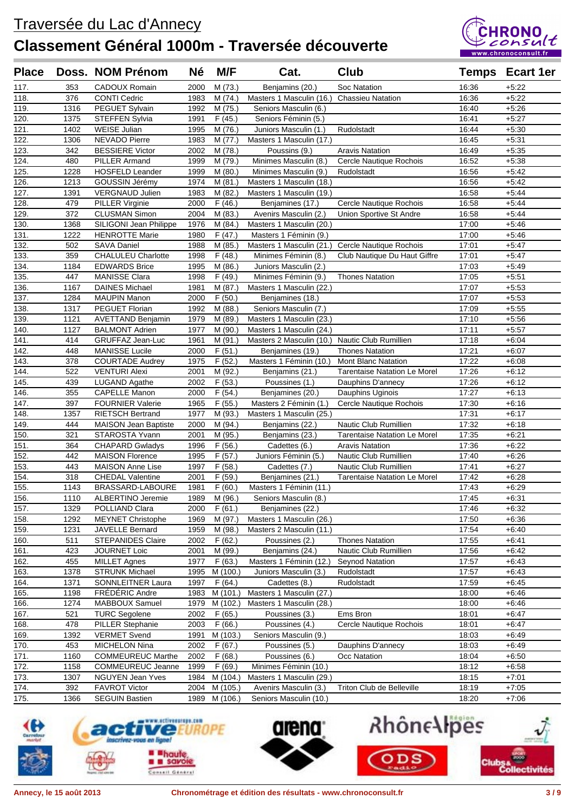

| <b>Place</b> |      | Doss. NOM Prénom            | <b>Né</b> | M/F               | Cat.                                              | Club                                |       | <b>Temps Ecart 1er</b> |
|--------------|------|-----------------------------|-----------|-------------------|---------------------------------------------------|-------------------------------------|-------|------------------------|
| 117.         | 353  | CADOUX Romain               | 2000      | M(73.)            | Benjamins (20.)                                   | Soc Natation                        | 16:36 | $+5:22$                |
| 118.         | 376  | <b>CONTI Cedric</b>         | 1983      | M(74.)            | Masters 1 Masculin (16.)                          | <b>Chassieu Natation</b>            | 16:36 | $+5:22$                |
| 119.         | 1316 | PEGUET Sylvain              | 1992      | M (75.)           | Seniors Masculin (6.)                             |                                     | 16:40 | $+5:26$                |
| 120.         | 1375 | <b>STEFFEN Sylvia</b>       | 1991      | F(45.)            | Seniors Féminin (5.)                              |                                     | 16:41 | $+5:27$                |
| 121.         | 1402 | <b>WEISE Julian</b>         | 1995      | M (76.)           | Juniors Masculin (1.)                             | Rudolstadt                          | 16:44 | $+5:30$                |
| 122.         | 1306 | <b>NEVADO Pierre</b>        | 1983      | M(77.)            | Masters 1 Masculin (17.)                          |                                     | 16:45 | $+5.31$                |
| 123.         | 342  | <b>BESSIERE Victor</b>      | 2002      | M (78.)           | Poussins (9.)                                     | <b>Aravis Natation</b>              | 16:49 | $+5:35$                |
| 124.         | 480  | <b>PILLER Armand</b>        | 1999      | M (79.)           | Minimes Masculin (8.)                             | Cercle Nautique Rochois             | 16:52 | $+5:38$                |
| 125.         | 1228 | <b>HOSFELD Leander</b>      | 1999      | M(80.)            | Minimes Masculin (9.)                             | Rudolstadt                          | 16:56 | $+5.42$                |
| 126.         | 1213 | GOUSSIN Jérémy              | 1974      | M(81.)            | Masters 1 Masculin (18.)                          |                                     | 16:56 | $+5:42$                |
| 127.         | 1391 | <b>VERGNAUD Julien</b>      | 1983      | M (82.)           | Masters 1 Masculin (19.)                          |                                     | 16:58 | $+5.44$                |
| 128.         | 479  | <b>PILLER Virginie</b>      | 2000      | F(46.)            | Benjamines (17.)                                  | Cercle Nautique Rochois             | 16:58 | $+5.44$                |
| 129.         | 372  | <b>CLUSMAN Simon</b>        | 2004      | M(83.)            | Avenirs Masculin (2.)                             | Union Sportive St Andre             | 16:58 | $+5.44$                |
| 130.         | 1368 | SILIGONI Jean Philippe      | 1976      | M(84.)            | Masters 1 Masculin (20.)                          |                                     | 17:00 | $+5:46$                |
| 131.         | 1222 | <b>HENROTTE Marie</b>       | 1980      | F(47.)            | Masters 1 Féminin (9.)                            |                                     | 17:00 | $+5.46$                |
| 132.         | 502  | <b>SAVA Daniel</b>          | 1988      | M (85.)           | Masters 1 Masculin (21.)                          | Cercle Nautique Rochois             | 17:01 | $+5:47$                |
| 133.         | 359  | <b>CHALULEU Charlotte</b>   | 1998      | F(48.)            | Minimes Féminin (8.)                              | Club Nautique Du Haut Giffre        | 17:01 | $+5:47$                |
| 134.         | 1184 | <b>EDWARDS Brice</b>        | 1995      | M(86.)            | Juniors Masculin (2.)                             |                                     | 17:03 | $+5:49$                |
| 135.         | 447  | <b>MANISSE Clara</b>        | 1998      | F(49.)            | Minimes Féminin (9.)                              | <b>Thones Natation</b>              | 17:05 | $+5.51$                |
|              | 1167 | <b>DAINES Michael</b>       | 1981      | M(87.)            | Masters 1 Masculin (22.)                          |                                     | 17:07 | $+5:53$                |
| 136.<br>137. | 1284 | <b>MAUPIN Manon</b>         | 2000      |                   |                                                   |                                     | 17:07 | $+5:53$                |
| 138.         | 1317 | PEGUET Florian              | 1992      | F(50.)<br>M (88.) | Benjamines (18.)                                  |                                     | 17:09 | $+5:55$                |
| 139.         | 1121 | <b>AVETTAND Benjamin</b>    | 1979      | M (89.)           | Seniors Masculin (7.)<br>Masters 1 Masculin (23.) |                                     | 17:10 | $+5:56$                |
|              |      |                             |           |                   |                                                   |                                     |       |                        |
| 140.         | 1127 | <b>BALMONT Adrien</b>       | 1977      | M (90.)           | Masters 1 Masculin (24.)                          |                                     | 17:11 | $+5:57$                |
| 141.         | 414  | GRUFFAZ Jean-Luc            | 1961      | M (91.)           | Masters 2 Masculin (10.)                          | Nautic Club Rumillien               | 17:18 | $+6:04$                |
| 142.         | 448  | <b>MANISSE Lucile</b>       | 2000      | F(51.)            | Benjamines (19.)                                  | <b>Thones Natation</b>              | 17:21 | $+6:07$                |
| 143.         | 378  | <b>COURTADE Audrey</b>      | 1975      | F(52.)            | Masters 1 Féminin (10.)                           | <b>Mont Blanc Natation</b>          | 17:22 | $+6:08$                |
| 144.         | 522  | <b>VENTURI Alexi</b>        | 2001      | M (92.)           | Benjamins (21.)                                   | Tarentaise Natation Le Morel        | 17:26 | $+6:12$                |
| 145.         | 439  | <b>LUGAND Agathe</b>        | 2002      | F(53.)            | Poussines (1.)                                    | Dauphins D'annecy                   | 17:26 | $+6:12$                |
| 146.         | 355  | <b>CAPELLE Manon</b>        | 2000      | F(54.)            | Benjamines (20.)                                  | Dauphins Uginois                    | 17:27 | $+6:13$                |
| 147.         | 397  | <b>FOURNIER Valerie</b>     | 1965      | F(55.)            | Masters 2 Féminin (1.)                            | Cercle Nautique Rochois             | 17:30 | $+6:16$                |
| 148.         | 1357 | <b>RIETSCH Bertrand</b>     | 1977      | M (93.)           | Masters 1 Masculin (25.)                          |                                     | 17:31 | $+6:17$                |
| 149.         | 444  | <b>MAISON Jean Baptiste</b> | 2000      | M (94.)           | Benjamins (22.)                                   | Nautic Club Rumillien               | 17:32 | $+6:18$                |
| 150.         | 321  | STAROSTA Yvann              | 2001      | M (95.)           | Benjamins (23.)                                   | <b>Tarentaise Natation Le Morel</b> | 17:35 | $+6:21$                |
| 151.         | 364  | <b>CHAPARD Gwladys</b>      | 1996      | F(56.)            | Cadettes (6.)                                     | <b>Aravis Natation</b>              | 17:36 | $+6:22$                |
| 152.         | 442  | <b>MAISON Florence</b>      | 1995      | F(57.)            | Juniors Féminin (5.)                              | Nautic Club Rumillien               | 17:40 | $+6:26$                |
| 153.         | 443  | <b>MAISON Anne Lise</b>     | 1997      | F(58.)            | Cadettes (7.)                                     | <b>Nautic Club Rumillien</b>        | 17:41 | $+6:27$                |
| 154.         | 318  | <b>CHEDAL Valentine</b>     | 2001      | F(59.)            | Benjamines (21.)                                  | <b>Tarentaise Natation Le Morel</b> | 17:42 | $+6:28$                |
| 155.         | 1143 | BRASSARD-LABOURE            | 1981      | F(60.)            | Masters 1 Féminin (11.)                           |                                     | 17:43 | $+6:29$                |
| 156.         | 1110 | ALBERTINO Jeremie           |           | 1989 M (96.)      | Seniors Masculin (8.)                             |                                     | 17:45 | $+6:31$                |
| 157.         | 1329 | POLLIAND Clara              | 2000      | F(61.)            | Benjamines (22.)                                  |                                     | 17:46 | $+6:32$                |
| 158.         | 1292 | <b>MEYNET Christophe</b>    | 1969      | M (97.)           | Masters 1 Masculin (26.)                          |                                     | 17:50 | $+6.36$                |
| 159.         | 1231 | JAVELLE Bernard             | 1959      | M (98.)           | Masters 2 Masculin (11.)                          |                                     | 17:54 | $+6.40$                |
| 160.         | 511  | <b>STEPANIDES Claire</b>    | 2002      | F(62.)            | Poussines (2.)                                    | <b>Thones Natation</b>              | 17:55 | $+6:41$                |
| 161.         | 423  | <b>JOURNET Loic</b>         | 2001      | M (99.)           | Benjamins (24.)                                   | Nautic Club Rumillien               | 17:56 | $+6:42$                |
| 162.         | 455  | <b>MILLET Agnes</b>         | 1977      | F(63.)            | Masters 1 Féminin (12.)                           | <b>Seynod Natation</b>              | 17:57 | $+6:43$                |
| 163.         | 1378 | <b>STRUNK Michael</b>       | 1995      | M (100.)          | Juniors Masculin (3.)                             | Rudolstadt                          | 17:57 | $+6:43$                |
| 164.         | 1371 | SONNLEITNER Laura           | 1997      | F(64.)            | Cadettes (8.)                                     | Rudolstadt                          | 17:59 | $+6:45$                |
| 165.         | 1198 | FREDERIC Andre              | 1983      | M (101.)          | Masters 1 Masculin (27.)                          |                                     | 18:00 | $+6.46$                |
| 166.         | 1274 | MABBOUX Samuel              | 1979      | M (102.)          | Masters 1 Masculin (28.)                          |                                     | 18:00 | $+6:46$                |
| 167.         | 521  | <b>TURC Segolene</b>        | 2002      | F(65.)            | Poussines (3.)                                    | Ems Bron                            | 18:01 | $+6:47$                |
| 168.         | 478  | <b>PILLER Stephanie</b>     | 2003      | F(66.)            | Poussines (4.)                                    | Cercle Nautique Rochois             | 18:01 | $+6.47$                |
| 169.         | 1392 | <b>VERMET Svend</b>         | 1991      | M (103.)          | Seniors Masculin (9.)                             |                                     | 18:03 | $+6.49$                |
| 170.         | 453  | MICHELON Nina               | 2002      | F(67.)            | Poussines (5.)                                    | Dauphins D'annecy                   | 18:03 | $+6.49$                |
| 171.         | 1160 | <b>COMMEUREUC Marthe</b>    | 2002      | F(68.)            | Poussines (6.)                                    | Occ Natation                        | 18:04 | $+6:50$                |
| 172.         | 1158 | <b>COMMEUREUC Jeanne</b>    | 1999      | F(69.)            | Minimes Féminin (10.)                             |                                     | 18:12 | $+6.58$                |
| 173.         | 1307 | NGUYEN Jean Yves            | 1984      | M (104.)          | Masters 1 Masculin (29.)                          |                                     | 18:15 | $+7:01$                |
| 174.         | 392  | <b>FAVROT Victor</b>        | 2004      | M (105.)          | Avenirs Masculin (3.)                             | Triton Club de Belleville           | 18:19 | $+7:05$                |
| 175.         | 1366 | <b>SEGUIN Bastien</b>       | 1989      | M (106.)          | Seniors Masculin (10.)                            |                                     | 18:20 | $+7:06$                |





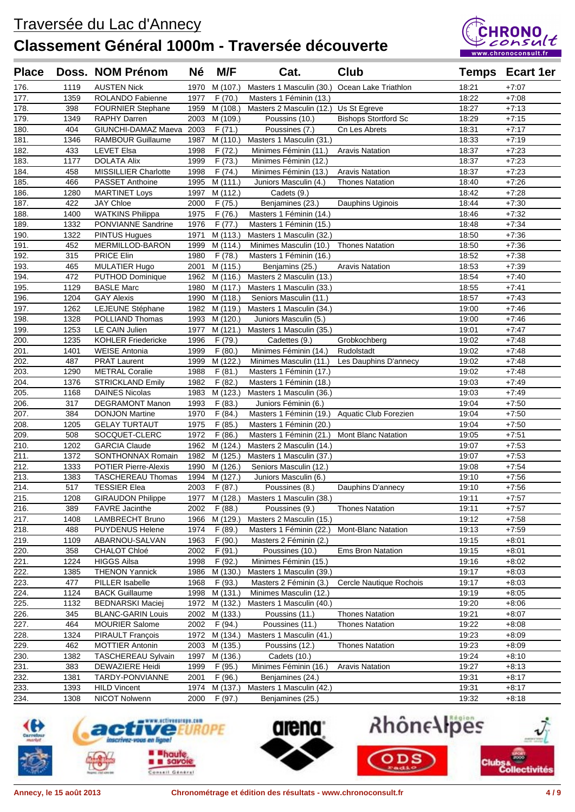

| <b>Place</b> |             | Doss. NOM Prénom                         | Né   | M/F                      | Cat.                                             | Club                        |                | <b>Temps Ecart 1er</b> |
|--------------|-------------|------------------------------------------|------|--------------------------|--------------------------------------------------|-----------------------------|----------------|------------------------|
| 176.         | 1119        | <b>AUSTEN Nick</b>                       | 1970 | M (107.)                 | Masters 1 Masculin (30.)                         | Ocean Lake Triathlon        | 18:21          | $+7:07$                |
| 177.         | 1359        | ROLANDO Fabienne                         | 1977 | F(70.)                   | Masters 1 Féminin (13.)                          |                             | 18:22          | $+7:08$                |
| 178.         | 398         | <b>FOURNIER Stephane</b>                 |      | 1959 M (108.)            | Masters 2 Masculin (12.)                         | Us St Egreve                | 18:27          | $+7:13$                |
| 179.         | 1349        | <b>RAPHY Darren</b>                      | 2003 | M (109.)                 | Poussins (10.)                                   | <b>Bishops Stortford Sc</b> | 18:29          | $+7:15$                |
| 180.         | 404         | GIUNCHI-DAMAZ Maeva 2003                 |      | F(71.)                   | Poussines (7.)                                   | Cn Les Abrets               | 18:31          | $+7:17$                |
| 181.         | 1346        | <b>RAMBOUR Guillaume</b>                 | 1987 | M (110.)                 | Masters 1 Masculin (31.)                         |                             | 18:33          | $+7:19$                |
| 182.         | 433         | <b>LEVET Elsa</b>                        | 1998 | F(72.)                   | Minimes Féminin (11.)                            | <b>Aravis Natation</b>      | 18:37          | $+7:23$                |
| 183.         | 1177        | <b>DOLATA Alix</b>                       | 1999 | F(73.)                   | Minimes Féminin (12.)                            |                             | 18:37          | $+7:23$                |
| 184.         | 458         | <b>MISSILLIER Charlotte</b>              | 1998 | F(74.)                   | Minimes Féminin (13.)                            | <b>Aravis Natation</b>      | 18:37          | $+7:23$                |
| 185.         | 466         | PASSET Anthoine                          | 1995 | M (111.)                 | Juniors Masculin (4.)                            | <b>Thones Natation</b>      | 18:40          | $+7:26$                |
| 186.         | 1280        | <b>MARTINET Loys</b>                     | 1997 | M (112.)                 | Cadets (9.)                                      |                             | 18:42          | $+7:28$                |
| 187.         | 422         | JAY Chloe                                | 2000 | F (75.)                  | Benjamines (23.)                                 | Dauphins Uginois            | 18:44          | $+7:30$                |
| 188.         | 1400        | <b>WATKINS Philippa</b>                  | 1975 | F(76.)                   | Masters 1 Féminin (14.)                          |                             | 18:46          | $+7:32$                |
| 189.         | 1332        | PONVIANNE Sandrine                       | 1976 | F(77.)                   | Masters 1 Féminin (15.)                          |                             | 18:48          | $+7:34$                |
| 190.         | 1322        | <b>PINTUS Hugues</b>                     | 1971 | M (113.)                 | Masters 1 Masculin (32.)                         |                             | 18:50          | $+7:36$                |
| 191.         | 452         | MERMILLOD-BARON                          | 1999 | M (114.)                 | Minimes Masculin (10.)                           | <b>Thones Natation</b>      | 18:50          | $+7:36$                |
| 192.         | 315         | PRICE Elin                               | 1980 | F (78.)                  | Masters 1 Féminin (16.)                          |                             | 18:52          | $+7:38$                |
| 193.         | 465         | <b>MULATIER Hugo</b>                     | 2001 | M (115.)                 | Benjamins (25.)                                  | <b>Aravis Natation</b>      | 18:53          | $+7:39$                |
| 194.         | 472         | <b>PUTHOD Dominique</b>                  | 1962 | M (116.)                 | Masters 2 Masculin (13.)                         |                             | 18:54          | $+7:40$                |
| 195.         | 1129        | <b>BASLE Marc</b>                        | 1980 | M (117.)                 | Masters 1 Masculin (33.)                         |                             | 18:55          | $+7.41$                |
| 196.         | 1204        | <b>GAY Alexis</b>                        | 1990 | M (118.)                 | Seniors Masculin (11.)                           |                             | 18:57          | $+7:43$                |
| 197.         | 1262        | LEJEUNE Stéphane                         | 1982 | M (119.)                 | Masters 1 Masculin (34.)                         |                             | 19:00          | $+7:46$                |
| 198.         | 1328        | POLLIAND Thomas                          | 1993 | M (120.)                 | Juniors Masculin (5.)                            |                             | 19:00          | $+7:46$                |
| 199.         | 1253        | LE CAIN Julien                           | 1977 | M (121.)                 | Masters 1 Masculin (35.)                         |                             | 19:01          | $+7:47$                |
| 200.         | 1235        | <b>KOHLER Friedericke</b>                | 1996 | F (79.)                  | Cadettes (9.)                                    | Grobkochberg                | 19:02          | $+7:48$                |
| 201.         | 1401        | <b>WEISE Antonia</b>                     | 1999 | F(80.)                   | Minimes Féminin (14.)                            | Rudolstadt                  | 19:02          | $+7:48$                |
| 202.         | 487         | <b>PRAT Laurent</b>                      | 1999 | M (122.)                 | Minimes Masculin (11.)                           | Les Dauphins D'annecy       | 19:02          | $+7:48$                |
| 203.         | 1290        | <b>METRAL Coralie</b>                    | 1988 | F(81.)                   | Masters 1 Féminin (17.)                          |                             | 19:02          | $+7.48$                |
| 204.         | 1376        | <b>STRICKLAND Emily</b>                  | 1982 | F(82.)                   | Masters 1 Féminin (18.)                          |                             | 19:03          | $+7:49$                |
| 205.         | 1168        | <b>DAINES Nicolas</b>                    | 1983 | M (123.)                 | Masters 1 Masculin (36.)                         |                             | 19:03          | $+7:49$                |
| 206.         | 317         | <b>DEGRAMONT Manon</b>                   | 1993 | F(83.)                   | Juniors Féminin (6.)                             |                             | 19:04          | $+7:50$                |
| 207.         | 384         | <b>DONJON Martine</b>                    | 1970 | F(84.)                   | Masters 1 Féminin (19.)                          | Aquatic Club Forezien       | 19:04          | $+7:50$                |
| 208.         | 1205        | <b>GELAY TURTAUT</b>                     | 1975 | F(85.)                   | Masters 1 Féminin (20.)                          |                             | 19:04          | $+7:50$                |
| 209.         | 508         | SOCQUET-CLERC                            | 1972 | F(86.)                   | Masters 1 Féminin (21.)                          | <b>Mont Blanc Natation</b>  | 19:05          | $+7:51$                |
| 210.         | 1202        | <b>GARCIA Claude</b>                     | 1962 | M (124.)                 | Masters 2 Masculin (14.)                         |                             | 19:07          | $+7:53$                |
| 211.         | 1372        | SONTHONNAX Romain                        | 1982 | M (125.)                 | Masters 1 Masculin (37.)                         |                             | 19:07          | $+7:53$                |
| 212.         | 1333        | <b>POTIER Pierre-Alexis</b>              | 1990 | M (126.)                 | Seniors Masculin (12.)                           |                             | 19:08          | $+7:54$                |
| 213.         | 1383        | TASCHEREAU Thomas                        |      | 1994 M (127.)            | Juniors Masculin (6.)                            |                             | 19:10          | $+7:56$                |
| 214.         | 517         | <b>TESSIER Elea</b>                      | 2003 | F(87.)                   | Poussines (8.)                                   | Dauphins D'annecy           | 19:10          | $+7:56$                |
| 215.         | 1208        | <b>GIRAUDON Philippe</b>                 |      |                          | 1977 M (128.) Masters 1 Masculin (38.)           |                             | 19:11          | $+7:57$                |
| 216.         | 389         | <b>FAVRE</b> Jacinthe                    | 2002 | F(88.)                   | Poussines (9.)                                   | <b>Thones Natation</b>      | 19:11          | $+7:57$                |
| 217.         | 1408        | LAMBRECHT Bruno                          | 1966 | M (129.)                 | Masters 2 Masculin (15.)                         |                             | 19:12          | $+7.58$                |
| 218.         | 488         | <b>PUYDENUS Helene</b>                   | 1974 | F (89.)                  | Masters 1 Féminin (22.)                          | <b>Mont-Blanc Natation</b>  | 19:13          | $+7:59$                |
| 219.         | 1109        | ABARNOU-SALVAN                           | 1963 | F(90.)                   | Masters 2 Féminin (2.)                           |                             | 19:15          | $+8:01$                |
| 220.         | 358         | CHALOT Chloé                             | 2002 | F (91.)                  | Poussines (10.)                                  | <b>Ems Bron Natation</b>    | 19:15          | $+8:01$                |
| 221.         | 1224        | <b>HIGGS Ailsa</b>                       | 1998 | F (92.)                  | Minimes Féminin (15.)                            |                             | 19:16          | $+8:02$                |
| 222.         | 1385<br>477 | <b>THENON Yannick</b><br>PILLER Isabelle | 1986 | M (130.)                 | Masters 1 Masculin (39.)                         | Cercle Nautique Rochois     | 19:17          | $+8.03$                |
| 223.<br>224. | 1124        | <b>BACK Guillaume</b>                    | 1968 | F (93.)<br>1998 M (131.) | Masters 2 Féminin (3.)<br>Minimes Masculin (12.) |                             | 19:17<br>19:19 | $+8.03$<br>$+8.05$     |
| 225.         | 1132        | <b>BEDNARSKI Maciej</b>                  |      | 1972 M (132.)            | Masters 1 Masculin (40.)                         |                             | 19:20          | $+8:06$                |
| 226.         | 345         | <b>BLANC-GARIN Louis</b>                 |      | 2002 M (133.)            | Poussins (11.)                                   | <b>Thones Natation</b>      | 19:21          | $+8:07$                |
| 227.         | 464         | <b>MOURIER Salome</b>                    | 2002 | F (94.)                  | Poussines (11.)                                  | <b>Thones Natation</b>      | 19:22          | $+8.08$                |
| 228.         | 1324        | PIRAULT François                         |      | 1972 M (134.)            | Masters 1 Masculin (41.)                         |                             | 19:23          | $+8:09$                |
| 229.         | 462         | <b>MOTTIER Antonin</b>                   | 2003 | M (135.)                 | Poussins (12.)                                   | <b>Thones Natation</b>      | 19:23          | $+8.09$                |
| 230.         | 1382        | <b>TASCHEREAU Sylvain</b>                | 1997 | M (136.)                 | Cadets (10.)                                     |                             | 19:24          | $+8:10$                |
| 231.         | 383         | <b>DEWAZIERE Heidi</b>                   | 1999 | F (95.)                  | Minimes Féminin (16.)                            | <b>Aravis Natation</b>      | 19:27          | $+8:13$                |
| 232.         | 1381        | TARDY-PONVIANNE                          | 2001 | F (96.)                  | Benjamines (24.)                                 |                             | 19:31          | $+8:17$                |
| 233.         | 1393        | <b>HILD Vincent</b>                      | 1974 | M (137.)                 | Masters 1 Masculin (42.)                         |                             | 19:31          | $+8:17$                |
| 234.         | 1308        | NICOT Nolwenn                            | 2000 | F (97.)                  | Benjamines (25.)                                 |                             | 19:32          | $+8:18$                |
|              |             |                                          |      |                          |                                                  |                             |                |                        |





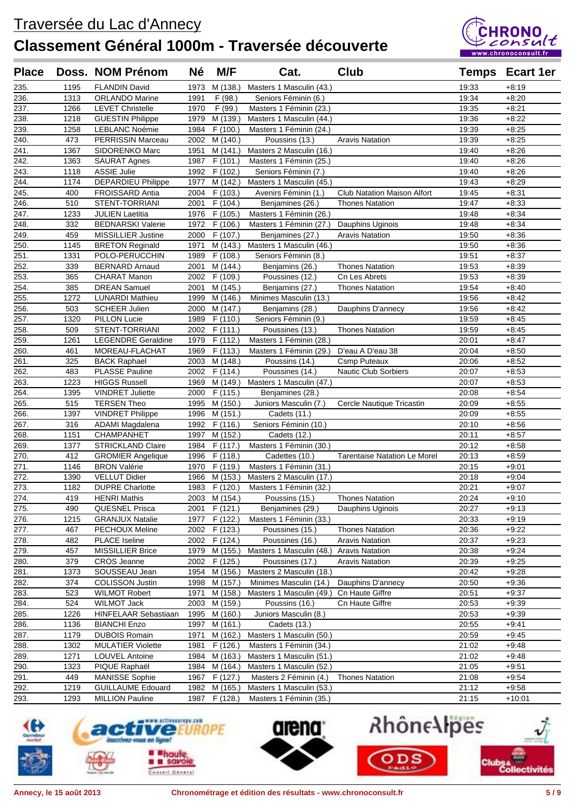

| <b>Place</b> |             | Doss. NOM Prénom                                  | <b>Né</b>    | M/F                  | Cat.                                               | <b>Club</b>                                        |                | <b>Temps</b> Ecart 1er |
|--------------|-------------|---------------------------------------------------|--------------|----------------------|----------------------------------------------------|----------------------------------------------------|----------------|------------------------|
| 235.         | 1195        | <b>FLANDIN David</b>                              | 1973         | M (138.)             | Masters 1 Masculin (43.)                           |                                                    | 19:33          | $+8:19$                |
| 236.         | 1313        | <b>ORLANDO Marine</b>                             | 1991         | F(98.)               | Seniors Féminin (6.)                               |                                                    | 19:34          | $+8:20$                |
| 237.         | 1266        | <b>LEVET Christelle</b>                           | 1970         | F (99.)              | Masters 1 Féminin (23.)                            |                                                    | 19:35          | $+8.21$                |
| 238.         | 1218        | <b>GUESTIN Philippe</b>                           | 1979         | M (139.)             | Masters 1 Masculin (44.)                           |                                                    | 19:36          | $+8:22$                |
| 239.         | 1258        | <b>LEBLANC Noémie</b>                             | 1984         | F(100.)              | Masters 1 Féminin (24.)                            |                                                    | 19:39          | $+8:25$                |
| 240.         | 473         | <b>PERRISSIN Marceau</b>                          | 2002         | M (140.)             | Poussins (13.)                                     | <b>Aravis Natation</b>                             | 19:39          | $+8:25$                |
| 241.         | 1367        | SIDORENKO Marc                                    | 1951         | M (141.)             | Masters 2 Masculin (16.)                           |                                                    | 19:40          | $+8:26$                |
| 242.         | 1363        | <b>SAURAT Agnes</b>                               | 1987         | F(101.)              | Masters 1 Féminin (25.)                            |                                                    | 19:40          | $+8:26$                |
| 243.         | 1118        | <b>ASSIE Julie</b>                                | 1992         | F (102.)             | Seniors Féminin (7.)                               |                                                    | 19:40          | $+8:26$                |
| 244.         | 1174        | <b>DEPARDIEU Philippe</b>                         | 1977         | M (142.)             | Masters 1 Masculin (45.)                           |                                                    | 19:43          | $+8:29$                |
| 245.         | 400         | <b>FROISSARD Antia</b>                            | 2004         | F(103.)              | Avenirs Féminin (1.)                               | <b>Club Natation Maison Alfort</b>                 | 19:45          | $+8:31$                |
| 246.         | 510         | STENT-TORRIANI                                    | 2001         | F(104.)              | Benjamines (26.)                                   | <b>Thones Natation</b>                             | 19:47          | $+8:33$                |
| 247.         | 1233        | <b>JULIEN Laetitia</b>                            | 1976         | F (105.)             | Masters 1 Féminin (26.)                            |                                                    | 19:48          | $+8:34$                |
| 248.         | 332         | <b>BEDNARSKI Valerie</b>                          | 1972         | F (106.)             | Masters 1 Féminin (27.)                            | Dauphins Uginois                                   | 19:48          | $+8:34$                |
| 249.         | 459         | MISSILLIER Justine                                | 2000         | F (107.)             | Benjamines (27.)                                   | <b>Aravis Natation</b>                             | 19:50          | $+8:36$                |
| 250.         | 1145        | <b>BRETON Reginald</b>                            | 1971         | M (143.)             | Masters 1 Masculin (46.)                           |                                                    | 19:50          | $+8:36$                |
| 251.         | 1331        | POLO-PERUCCHIN                                    | 1989         | F(108.)              | Seniors Féminin (8.)                               |                                                    | 19:51          | $+8.37$                |
| 252.         | 339         | <b>BERNARD Arnaud</b>                             | 2001         | M (144.)             | Benjamins (26.)                                    | <b>Thones Natation</b>                             | 19:53          | $+8:39$                |
| 253.         | 365         | <b>CHARAT Manon</b>                               | 2002         | F (109.)             | Poussines (12.)                                    | Cn Les Abrets                                      | 19:53          | $+8:39$                |
| 254.         | 385         | <b>DREAN Samuel</b>                               | 2001         | M (145.)             | Benjamins (27.)                                    | <b>Thones Natation</b>                             | 19:54          | $+8:40$                |
| 255.         | 1272        | <b>LUNARDI Mathieu</b>                            | 1999         | M (146.)             | Minimes Masculin (13.)                             |                                                    | 19:56          | $+8:42$                |
| 256.         | 503         | <b>SCHEER Julien</b>                              | 2000         | M (147.)             | Benjamins (28.)                                    | Dauphins D'annecy                                  | 19:56          | $+8:42$                |
| 257.         | 1320        | <b>PILLON Lucie</b>                               | 1989         | F(110.)              | Seniors Féminin (9.)                               |                                                    | 19:59          | $+8:45$                |
| 258.         | 509         | STENT-TORRIANI                                    | 2002         | F (111.)             | Poussines (13.)                                    | <b>Thones Natation</b>                             | 19:59          | $+8:45$                |
| 259.         | 1261        | <b>LEGENDRE Geraldine</b>                         | 1979         | F (112.)             | Masters 1 Féminin (28.)                            |                                                    | 20:01          | $+8.47$                |
| 260.         | 461         | MOREAU-FLACHAT                                    | 1969         | F (113.)             | Masters 1 Féminin (29.)                            | D'eau A D'eau 38                                   | 20:04          | $+8:50$                |
| 261.<br>262. | 325<br>483  | <b>BACK Raphael</b><br><b>PLASSE Pauline</b>      | 2003<br>2002 | M (148.)<br>F (114.) | Poussins (14.)<br>Poussines (14.)                  | <b>Csmp Puteaux</b><br><b>Nautic Club Sorbiers</b> | 20:06<br>20:07 | $+8.52$<br>$+8.53$     |
| 263.         | 1223        | <b>HIGGS Russell</b>                              | 1969         | M (149.)             | Masters 1 Masculin (47.)                           |                                                    | 20:07          | $+8:53$                |
| 264.         | 1395        | <b>VINDRET Juliette</b>                           | 2000         | F(115.)              | Benjamines (28.)                                   |                                                    | 20:08          | $+8:54$                |
| 265.         | 515         | <b>TERSEN Theo</b>                                | 1995         | M (150.)             | Juniors Masculin (7.)                              | Cercle Nautique Tricastin                          | 20:09          | $+8:55$                |
| 266.         | 1397        | <b>VINDRET Philippe</b>                           | 1996         | M (151.)             | Cadets (11.)                                       |                                                    | 20:09          | $+8:55$                |
| 267.         | 316         | ADAMI Magdalena                                   | 1992         | F(116.)              | Seniors Féminin (10.)                              |                                                    | 20:10          | $+8.56$                |
| 268.         | 1151        | CHAMPANHET                                        | 1997         | M (152.)             | Cadets (12.)                                       |                                                    | 20:11          | $+8.57$                |
| 269.         | 1377        | <b>STRICKLAND Claire</b>                          | 1984         | F (117.)             | Masters 1 Féminin (30.)                            |                                                    | 20:12          | $+8.58$                |
| 270.         | 412         | <b>GROMIER Angelique</b>                          | 1996         | F (118.)             | Cadettes (10.)                                     | <b>Tarentaise Natation Le Morel</b>                | 20:13          | $+8.59$                |
| 271.         | 1146        | <b>BRON Valérie</b>                               | 1970         | F (119.)             | Masters 1 Féminin (31.)                            |                                                    | 20:15          | $+9:01$                |
| 272.         | 1390        | <b>VELLUT Didier</b>                              | 1966         | M (153.)             | Masters 2 Masculin (17.)                           |                                                    | 20:18          | $+9:04$                |
| 273.         | 1182        | <b>DUPRE Charlotte</b>                            |              | 1983 F (120.)        | Masters 1 Féminin (32.)                            |                                                    | 20:21          | $+9:07$                |
| 274.         | 419         | <b>HENRI Mathis</b>                               |              | 2003 M (154.)        | Poussins (15.)                                     | <b>Thones Natation</b>                             | 20:24          | $+9:10$                |
| 275.         | 490         | <b>QUESNEL Prisca</b>                             |              | 2001 F (121.)        | Benjamines (29.)                                   | Dauphins Uginois                                   | 20:27          | $+9.13$                |
| 276.         | 1215        | <b>GRANJUX Natalie</b>                            | 1977         | F (122.)             | Masters 1 Féminin (33.)                            |                                                    | 20:33          | $+9:19$                |
| 277.         | 467         | PECHOUX Meline                                    |              | 2002 F (123.)        | Poussines (15.)                                    | <b>Thones Natation</b>                             | 20:36          | $+9:22$                |
| 278.         | 482         | <b>PLACE Iseline</b>                              |              | 2002 F (124.)        | Poussines (16.)                                    | <b>Aravis Natation</b>                             | 20:37          | $+9:23$                |
| 279.         | 457         | <b>MISSILLIER Brice</b>                           | 1979         | M (155.)             | Masters 1 Masculin (48.)                           | <b>Aravis Natation</b>                             | 20:38          | $+9:24$                |
| 280.         | 379         | <b>CROS</b> Jeanne                                | 2002         | F (125.)             | Poussines (17.)                                    | <b>Aravis Natation</b>                             | 20:39          | $+9:25$                |
| 281.         | 1373        | SOUSSEAU Jean                                     |              | 1954 M (156.)        | Masters 2 Masculin (18.)                           |                                                    | 20:42          | $+9:28$                |
| 282.         | 374         | <b>COLISSON Justin</b>                            | 1998         | M (157.)             | Minimes Masculin (14.)                             | Dauphins D'annecy                                  | 20:50          | $+9:36$                |
| 283.         | 523         | <b>WILMOT Robert</b>                              | 1971         | M (158.)             | Masters 1 Masculin (49.) Cn Haute Giffre           |                                                    | 20:51          | $+9:37$                |
| 284.         | 524         | <b>WILMOT Jack</b>                                | 2003         | M (159.)             | Poussins (16.)                                     | Cn Haute Giffre                                    | 20:53          | $+9:39$                |
| 285.         | 1226        | HINFELAAR Sebastiaan                              | 1995         | M (160.)             | Juniors Masculin (8.)                              |                                                    | 20:53          | $+9.39$                |
| 286.         | 1136        | <b>BIANCHI Enzo</b>                               | 1997         | M (161.)             | Cadets (13.)                                       |                                                    | 20:55          | $+9:41$                |
| 287.         | 1179        | <b>DUBOIS Romain</b>                              | 1971         | M (162.)             | Masters 1 Masculin (50.)                           |                                                    | 20:59          | $+9:45$                |
| 288.         | 1302        | <b>MULATIER Violette</b>                          | 1981         | F (126.)             | Masters 1 Féminin (34.)                            |                                                    | 21:02          | $+9:48$                |
| 289.         | 1271        | LOUVEL Antoine                                    | 1984         | M (163.)             | Masters 1 Masculin (51.)                           |                                                    | 21:02          | $+9:48$                |
| 290.         | 1323<br>449 | PIQUE Raphaël                                     | 1984         | M (164.)             | Masters 1 Masculin (52.)                           |                                                    | 21:05<br>21:08 | $+9.51$<br>$+9.54$     |
| 291.<br>292. | 1219        | <b>MANISSE Sophie</b><br><b>GUILLAUME Edouard</b> | 1967<br>1982 | F (127.)<br>M (165.) | Masters 2 Féminin (4.)<br>Masters 1 Masculin (53.) | <b>Thones Natation</b>                             | 21:12          | $+9.58$                |
|              | 1293        | <b>MILLION Pauline</b>                            | 1987         | F (128.)             | Masters 1 Féminin (35.)                            |                                                    | 21:15          | $+10:01$               |
| 293.         |             |                                                   |              |                      |                                                    |                                                    |                |                        |





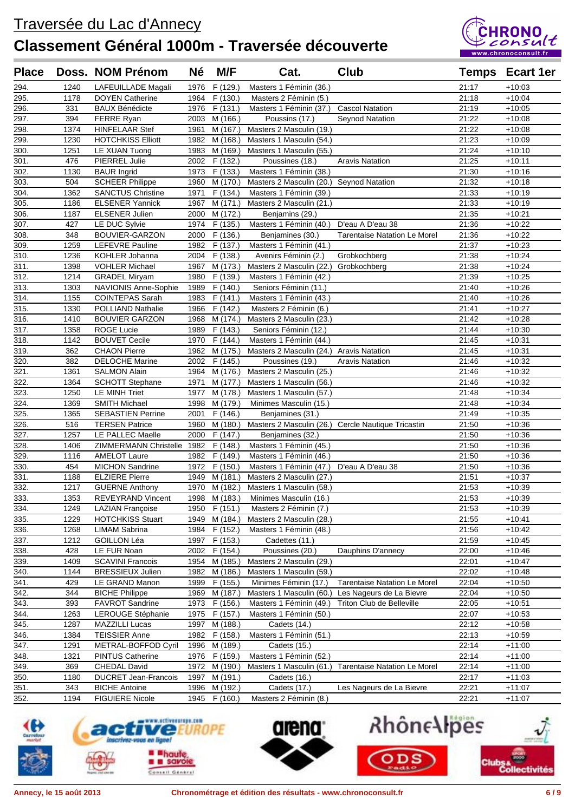

| <b>Place</b> |             | Doss. NOM Prénom                                  | <b>Né</b>    | M/F                  | Cat.                                     | Club                                               |                | <b>Temps</b> Ecart 1er |
|--------------|-------------|---------------------------------------------------|--------------|----------------------|------------------------------------------|----------------------------------------------------|----------------|------------------------|
| 294.         | 1240        | LAFEUILLADE Magali                                | 1976         | F (129.)             | Masters 1 Féminin (36.)                  |                                                    | 21:17          | $+10:03$               |
| 295.         | 1178        | <b>DOYEN Catherine</b>                            | 1964         | F(130.)              | Masters 2 Féminin (5.)                   |                                                    | 21:18          | $+10:04$               |
| 296.         | 331         | <b>BAUX Bénédicte</b>                             | 1976         | F (131.)             | Masters 1 Féminin (37.)                  | <b>Cascol Natation</b>                             | 21:19          | $+10:05$               |
| 297.         | 394         | FERRE Ryan                                        | 2003         | M (166.)             | Poussins (17.)                           | Seynod Natation                                    | 21:22          | $+10:08$               |
| 298.         | 1374        | <b>HINFELAAR Stef</b>                             | 1961         | M (167.)             | Masters 2 Masculin (19.)                 |                                                    | 21:22          | $+10:08$               |
| 299.         | 1230        | <b>HOTCHKISS Elliott</b>                          | 1982         | M (168.)             | Masters 1 Masculin (54.)                 |                                                    | 21:23          | $+10:09$               |
| 300.         | 1251        | LE XUAN Tuong                                     | 1983         | M (169.)             | Masters 1 Masculin (55.)                 |                                                    | 21:24          | $+10:10$               |
| 301.         | 476         | PIERREL Julie                                     | 2002         | F (132.)             | Poussines (18.)                          | <b>Aravis Natation</b>                             | 21:25          | $+10.11$               |
| 302.         | 1130        | <b>BAUR</b> Ingrid                                | 1973         | F(133.)              | Masters 1 Féminin (38.)                  |                                                    | 21:30          | $+10:16$               |
| 303.         | 504         | <b>SCHEER Philippe</b>                            | 1960         | M (170.)             | Masters 2 Masculin (20.) Seynod Natation |                                                    | 21:32          | $+10:18$               |
| 304.         | 1362        | <b>SANCTUS Christine</b>                          | 1971         | F (134.)             | Masters 1 Féminin (39.)                  |                                                    | 21:33          | $+10:19$               |
| 305.         | 1186        | <b>ELSENER Yannick</b>                            | 1967         | M (171.)             | Masters 2 Masculin (21.)                 |                                                    | 21:33          | $+10:19$               |
| 306.         | 1187        | <b>ELSENER Julien</b>                             | 2000         | M (172.)             | Benjamins (29.)                          |                                                    | 21:35          | $+10.21$               |
| 307.         | 427         | LE DUC Sylvie                                     | 1974         | F (135.)             | Masters 1 Féminin (40.)                  | D'eau A D'eau 38                                   | 21:36          | $+10:22$               |
| 308.         | 348         | BOUVIER-GARZON                                    | 2000         | F(136.)              | Benjamines (30.)                         | <b>Tarentaise Natation Le Morel</b>                | 21:36          | $+10:22$               |
| 309.         | 1259        | LEFEVRE Pauline                                   | 1982         | F (137.)             | Masters 1 Féminin (41.)                  |                                                    | 21:37          | $+10:23$               |
| 310.         | 1236        | KOHLER Johanna                                    | 2004         | F(138.)              | Avenirs Féminin (2.)                     | Grobkochberg                                       | 21:38          | $+10:24$               |
| 311.         | 1398        | <b>VOHLER Michael</b>                             | 1967         | M (173.)             | Masters 2 Masculin (22.) Grobkochberg    |                                                    | 21:38          | $+10:24$               |
| 312.         | 1214        | <b>GRADEL Miryam</b>                              | 1980         | F (139.)             | Masters 1 Féminin (42.)                  |                                                    | 21:39          | $+10:25$               |
| 313.         | 1303        | NAVIONIS Anne-Sophie                              | 1989         | F (140.)             | Seniors Féminin (11.)                    |                                                    | 21:40          | $+10:26$               |
| 314.         | 1155        | <b>COINTEPAS Sarah</b>                            | 1983         | F(141.)              | Masters 1 Féminin (43.)                  |                                                    | 21:40          | $+10:26$               |
| 315.         | 1330        | POLLIAND Nathalie                                 | 1966         | F (142.)             | Masters 2 Féminin (6.)                   |                                                    | 21:41          | $+10.27$               |
| 316.         | 1410        | <b>BOUVIER GARZON</b>                             | 1968         | M (174.)             | Masters 2 Masculin (23.)                 |                                                    | 21:42          | $+10:28$               |
| 317.         | 1358        | <b>ROGE Lucie</b>                                 | 1989         | F(143.)              | Seniors Féminin (12.)                    |                                                    | 21:44          | $+10:30$               |
| 318.         | 1142        | <b>BOUVET Cecile</b>                              | 1970         | F (144.)             | Masters 1 Féminin (44.)                  |                                                    | 21:45          | $+10:31$               |
| 319.         | 362         | <b>CHAON Pierre</b>                               | 1962         | M (175.)             | Masters 2 Masculin (24.)                 | <b>Aravis Natation</b>                             | 21:45          | $+10.31$               |
| 320.         | 382         | <b>DELOCHE Marine</b>                             | 2002         | F (145.)             | Poussines (19.)                          | <b>Aravis Natation</b>                             | 21:46          | $+10:32$               |
| 321.         | 1361        | <b>SALMON Alain</b>                               | 1964         | M (176.)             | Masters 2 Masculin (25.)                 |                                                    | 21:46          | $+10:32$               |
| 322.         | 1364        | <b>SCHOTT Stephane</b>                            | 1971         | M (177.)             | Masters 1 Masculin (56.)                 |                                                    | 21:46          | $+10:32$               |
| 323.         | 1250        | LE MINH Triet                                     | 1977         | M (178.)             | Masters 1 Masculin (57.)                 |                                                    | 21:48          | $+10.34$               |
| 324.         | 1369        | <b>SMITH Michael</b>                              | 1998         | M (179.)             | Minimes Masculin (15.)                   |                                                    | 21:48          | $+10:34$               |
| 325.         | 1365        | <b>SEBASTIEN Perrine</b><br><b>TERSEN Patrice</b> | 2001         | F(146.)              | Benjamines (31.)                         |                                                    | 21:49<br>21:50 | $+10:35$<br>$+10:36$   |
| 326.<br>327. | 516<br>1257 | LE PALLEC Maelle                                  | 1960<br>2000 | M (180.)<br>F (147.) | Benjamines (32.)                         | Masters 2 Masculin (26.) Cercle Nautique Tricastin | 21:50          | $+10:36$               |
| 328.         | 1406        | ZIMMERMANN Christelle 1982                        |              | F(148.)              | Masters 1 Féminin (45.)                  |                                                    | 21:50          | $+10:36$               |
| 329.         | 1116        | <b>AMELOT Laure</b>                               | 1982         | F (149.)             | Masters 1 Féminin (46.)                  |                                                    | 21:50          | $+10:36$               |
| 330.         | 454         | <b>MICHON Sandrine</b>                            | 1972         | F (150.)             | Masters 1 Féminin (47.)                  | D'eau A D'eau 38                                   | 21:50          | $+10:36$               |
| 331.         | 1188        | <b>ELZIERE Pierre</b>                             | 1949         | M (181.)             | Masters 2 Masculin (27.)                 |                                                    | 21:51          | $+10:37$               |
| 332.         | 1217        | <b>GUERNE Anthony</b>                             | 1970         | M (182.)             | Masters 1 Masculin (58.)                 |                                                    | 21:53          | $+10:39$               |
| 333.         | 1353        | <b>REVEYRAND Vincent</b>                          |              | 1998 M (183.)        | Minimes Masculin (16.)                   |                                                    | 21:53          | $+10:39$               |
| 334.         | 1249        | <b>LAZIAN Françoise</b>                           |              | 1950 F (151.)        | Masters 2 Féminin (7.)                   |                                                    | 21:53          | $+10.39$               |
| 335.         | 1229        | <b>HOTCHKISS Stuart</b>                           | 1949         | M (184.)             | Masters 2 Masculin (28.)                 |                                                    | 21:55          | $+10.41$               |
| 336.         | 1268        | <b>LIMAM Sabrina</b>                              | 1984         | F (152.)             | Masters 1 Féminin (48.)                  |                                                    | 21:56          | $+10:42$               |
| 337.         | 1212        | GOILLON Léa                                       | 1997         | F (153.)             | Cadettes (11.)                           |                                                    | 21:59          | $+10:45$               |
| 338.         | 428         | LE FUR Noan                                       | 2002         | F(154.)              | Poussines (20.)                          | Dauphins D'annecy                                  | 22:00          | $+10:46$               |
| 339.         | 1409        | <b>SCAVINI Francois</b>                           | 1954         | M (185.)             | Masters 2 Masculin (29.)                 |                                                    | 22:01          | $+10:47$               |
| 340.         | 1144        | <b>BRESSIEUX Julien</b>                           | 1982         | M (186.)             | Masters 1 Masculin (59.)                 |                                                    | 22:02          | $+10:48$               |
| 341.         | 429         | LE GRAND Manon                                    | 1999         | F (155.)             | Minimes Féminin (17.)                    | <b>Tarentaise Natation Le Morel</b>                | 22:04          | $+10:50$               |
| 342.         | 344         | <b>BICHE Philippe</b>                             | 1969         | M (187.)             | Masters 1 Masculin (60.                  | Les Nageurs de La Bievre                           | 22:04          | $+10:50$               |
| 343.         | 393         | <b>FAVROT Sandrine</b>                            | 1973         | F(156.)              | Masters 1 Féminin (49.)                  | Triton Club de Belleville                          | 22:05          | $+10:51$               |
| 344.         | 1263        | LEROUGE Stéphanie                                 | 1975         | F (157.)             | Masters 1 Féminin (50.)                  |                                                    | 22:07          | $+10:53$               |
| 345.         | 1287        | MAZZILLI Lucas                                    | 1997         | M (188.)             | Cadets (14.)                             |                                                    | 22:12          | $+10:58$               |
| 346.         | 1384        | <b>TEISSIER Anne</b>                              | 1982         | F (158.)             | Masters 1 Féminin (51.)                  |                                                    | 22:13          | $+10:59$               |
| 347.         | 1291        | METRAL-BOFFOD Cyril                               | 1996         | M (189.)             | Cadets (15.)                             |                                                    | 22:14          | $+11:00$               |
| 348.         | 1321        | <b>PINTUS Catherine</b>                           | 1976         | F (159.)             | Masters 1 Féminin (52.)                  |                                                    | 22:14          | $+11:00$               |
| 349.         | 369         | <b>CHEDAL David</b>                               | 1972         | M (190.)             | Masters 1 Masculin (61.)                 | <b>Tarentaise Natation Le Morel</b>                | 22:14          | $+11:00$               |
| 350.         | 1180        | <b>DUCRET Jean-Francois</b>                       | 1997         | M (191.)             | Cadets (16.)                             |                                                    | 22:17          | $+11:03$               |
| 351.         | 343         | <b>BICHE Antoine</b>                              | 1996         | M (192.)             | Cadets (17.)                             | Les Nageurs de La Bievre                           | 22:21          | $+11:07$               |
| 352.         | 1194        | <b>FIGUIERE Nicole</b>                            | 1945         | F(160.)              | Masters 2 Féminin (8.)                   |                                                    | 22:21          | $+11:07$               |





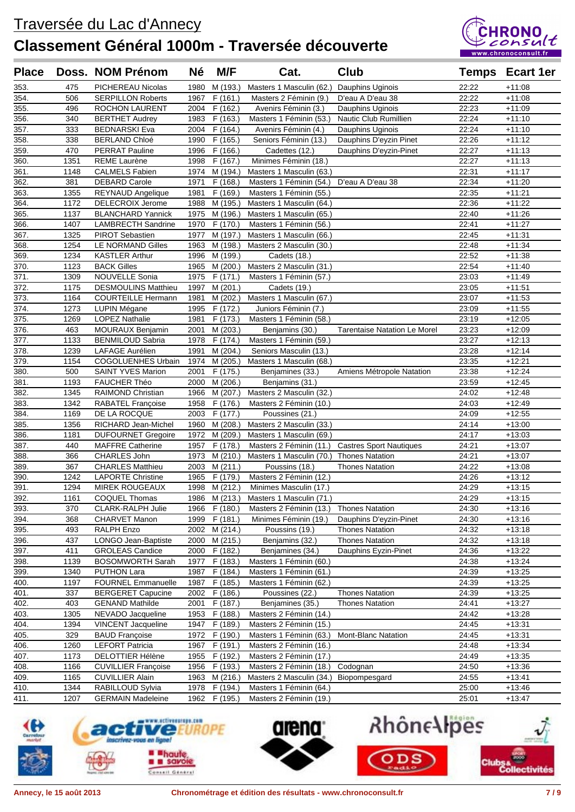

| <b>Place</b>       |      | Doss. NOM Prénom           | Né   | M/F           | Cat.                                   | Club                                |       | <b>Temps</b> Ecart 1er |
|--------------------|------|----------------------------|------|---------------|----------------------------------------|-------------------------------------|-------|------------------------|
| 353.               | 475  | PICHEREAU Nicolas          | 1980 | M (193.)      | Masters 1 Masculin (62.)               | Dauphins Uginois                    | 22:22 | $+11:08$               |
| 354.               | 506  | <b>SERPILLON Roberts</b>   | 1967 | F(161.)       | Masters 2 Féminin (9.)                 | D'eau A D'eau 38                    | 22:22 | $+11:08$               |
| 355.               | 496  | ROCHON LAURENT             | 2004 | F (162.)      | Avenirs Féminin (3.)                   | Dauphins Uginois                    | 22:23 | $+11:09$               |
| 356.               | 340  | <b>BERTHET Audrey</b>      | 1983 | F(163.)       | Masters 1 Féminin (53.)                | Nautic Club Rumillien               | 22:24 | $+11:10$               |
| 357.               | 333  | <b>BEDNARSKI Eva</b>       | 2004 | F (164.)      | Avenirs Féminin (4.)                   | Dauphins Uginois                    | 22:24 | $+11:10$               |
| 358.               | 338  | <b>BERLAND Chloé</b>       | 1990 | F(165.)       | Seniors Féminin (13.)                  | Dauphins D'eyzin Pinet              | 22:26 | $+11:12$               |
| 359.               | 470  | <b>PERRAT Pauline</b>      | 1996 | F(166.)       | Cadettes (12.)                         | Dauphins D'eyzin-Pinet              | 22:27 | $+11:13$               |
| 360.               | 1351 | <b>REME Laurène</b>        | 1998 | F (167.)      | Minimes Féminin (18.)                  |                                     | 22:27 | $+11:13$               |
| 361.               | 1148 | <b>CALMELS Fabien</b>      |      | 1974 M (194.) | Masters 1 Masculin (63.)               |                                     | 22:31 | $+11:17$               |
| 362.               | 381  | <b>DEBARD Carole</b>       | 1971 | F(168.)       | Masters 1 Féminin (54.)                | D'eau A D'eau 38                    | 22:34 | $+11:20$               |
| 363.               | 1355 | REYNAUD Angelique          | 1981 | F (169.)      | Masters 1 Féminin (55.)                |                                     | 22:35 | $+11:21$               |
| 364.               | 1172 | DELECROIX Jerome           | 1988 | M (195.)      | Masters 1 Masculin (64.)               |                                     | 22:36 | $+11:22$               |
| 365.               | 1137 | <b>BLANCHARD Yannick</b>   | 1975 | M (196.)      | Masters 1 Masculin (65.)               |                                     | 22:40 | $+11:26$               |
| 366.               | 1407 | <b>LAMBRECTH Sandrine</b>  | 1970 | F (170.)      | Masters 1 Féminin (56.)                |                                     | 22:41 | $+11:27$               |
| 367.               | 1325 | PIROT Sebastien            | 1977 | M (197.)      | Masters 1 Masculin (66.)               |                                     | 22:45 | $+11:31$               |
| 368.               | 1254 | LE NORMAND Gilles          | 1963 | M (198.)      | Masters 2 Masculin (30.)               |                                     | 22:48 | $+11:34$               |
| 369.               | 1234 | <b>KASTLER Arthur</b>      | 1996 | M (199.)      | Cadets (18.)                           |                                     | 22:52 | $+11:38$               |
| 370.               | 1123 | <b>BACK Gilles</b>         | 1965 | M (200.)      | Masters 2 Masculin (31.)               |                                     | 22:54 | $+11:40$               |
| 371.               | 1309 | <b>NOUVELLE Sonia</b>      | 1975 | F(171.)       | Masters 1 Féminin (57.)                |                                     | 23:03 | $+11:49$               |
| 372.               | 1175 | <b>DESMOULINS Matthieu</b> | 1997 | M (201.)      | Cadets (19.)                           |                                     | 23:05 | $+11:51$               |
| 373.               | 1164 | <b>COURTEILLE Hermann</b>  | 1981 | M (202.)      | Masters 1 Masculin (67.)               |                                     | 23:07 | $+11:53$               |
| 374.               | 1273 | LUPIN Mégane               | 1995 | F(172.)       | Juniors Féminin (7.)                   |                                     | 23:09 | $+11:55$               |
| $\overline{375}$ . | 1269 | <b>LOPEZ Nathalie</b>      | 1981 | F(173.)       | Masters 1 Féminin (58.)                |                                     | 23:19 | $+12:05$               |
| 376.               | 463  | <b>MOURAUX Benjamin</b>    | 2001 | M (203.)      | Benjamins (30.)                        | <b>Tarentaise Natation Le Morel</b> | 23:23 | $+12:09$               |
| 377.               | 1133 | <b>BENMILOUD Sabria</b>    | 1978 | F (174.)      | Masters 1 Féminin (59.)                |                                     | 23:27 | $+12:13$               |
| 378.               | 1239 | LAFAGE Aurélien            | 1991 | M (204.)      | Seniors Masculin (13.)                 |                                     | 23:28 | $+12:14$               |
| 379.               | 1154 | <b>COGOLUENHES Urbain</b>  | 1974 | M (205.)      | Masters 1 Masculin (68.)               |                                     | 23:35 | $+12:21$               |
| 380.               | 500  | SAINT YVES Marion          | 2001 | F (175.)      | Benjamines (33.)                       | Amiens Métropole Natation           | 23:38 | $+12:24$               |
| 381.               | 1193 | FAUCHER Théo               | 2000 | M (206.)      | Benjamins (31.)                        |                                     | 23:59 | $+12:45$               |
| 382.               | 1345 | RAIMOND Christian          | 1966 | M (207.)      | Masters 2 Masculin (32.)               |                                     | 24:02 | $+12:48$               |
| 383.               | 1342 | RABATEL Françoise          | 1958 | F(176.)       | Masters 2 Féminin (10.)                |                                     | 24:03 | $+12:49$               |
| 384.               | 1169 | DE LA ROCQUE               | 2003 | F(177.)       | Poussines (21.)                        |                                     | 24:09 | $+12:55$               |
| 385.               | 1356 | RICHARD Jean-Michel        | 1960 | M (208.)      | Masters 2 Masculin (33.)               |                                     | 24:14 | $+13:00$               |
| 386.               | 1181 | <b>DUFOURNET Gregoire</b>  | 1972 | M (209.)      | Masters 1 Masculin (69.)               |                                     | 24:17 | $+13:03$               |
| 387.               | 440  | <b>MAFFRE Catherine</b>    | 1957 | F(178.)       | Masters 2 Féminin (11.)                | <b>Castres Sport Nautiques</b>      | 24:21 | $+13:07$               |
| 388.               | 366  | CHARLES John               | 1973 | M (210.)      | Masters 1 Masculin (70.)               | <b>Thones Natation</b>              | 24:21 | $+13:07$               |
| 389.               | 367  | <b>CHARLES Matthieu</b>    | 2003 | M(211.)       | Poussins (18.)                         | <b>Thones Natation</b>              | 24:22 | $+13:08$               |
| 390.               | 1242 | <b>LAPORTE Christine</b>   | 1965 | F (179.)      | Masters 2 Féminin (12.)                |                                     | 24:26 | $+13:12$               |
| 391.               | 1294 | MIREK ROUGEAUX             | 1998 | M (212.)      | Minimes Masculin (17.)                 |                                     | 24:29 | $+13:15$               |
| 392.               | 1161 | COQUEL Thomas              |      |               | 1986 M (213.) Masters 1 Masculin (71.) |                                     | 24:29 | $+13:15$               |
| 393.               | 370  | CLARK-RALPH Julie          |      | 1966 F (180.) | Masters 2 Féminin (13.)                | <b>Thones Natation</b>              | 24:30 | $+13:16$               |
| 394.               | 368  | <b>CHARVET Manon</b>       | 1999 | F(181.)       | Minimes Féminin (19.)                  | Dauphins D'eyzin-Pinet              | 24:30 | $+13:16$               |
| 395.               | 493  | RALPH Enzo                 | 2002 | M (214.)      | Poussins (19.)                         | <b>Thones Natation</b>              | 24:32 | $+13:18$               |
| 396.               | 437  | LONGO Jean-Baptiste        | 2000 | M (215.)      | Benjamins (32.)                        | <b>Thones Natation</b>              | 24:32 | $+13:18$               |
| 397.               | 411  | <b>GROLEAS Candice</b>     | 2000 | F (182.)      | Benjamines (34.)                       | Dauphins Eyzin-Pinet                | 24:36 | $+13:22$               |
| 398.               | 1139 | <b>BOSOMWORTH Sarah</b>    | 1977 | F(183.)       | Masters 1 Féminin (60.)                |                                     | 24:38 | $+13:24$               |
| 399.               | 1340 | <b>PUTHON Lara</b>         | 1987 | F (184.)      | Masters 1 Féminin (61.)                |                                     | 24:39 | $+13.25$               |
| 400.               | 1197 | <b>FOURNEL Emmanuelle</b>  | 1987 | F(185.)       | Masters 1 Féminin (62.)                |                                     | 24:39 | $+13:25$               |
| 401.               | 337  | <b>BERGERET Capucine</b>   | 2002 | F (186.)      | Poussines (22.)                        | <b>Thones Natation</b>              | 24:39 | $+13:25$               |
| 402.               | 403  | <b>GENAND Mathilde</b>     | 2001 | F (187.)      | Benjamines (35.)                       | <b>Thones Natation</b>              | 24:41 | $+13:27$               |
| 403.               | 1305 | NEVADO Jacqueline          | 1953 | F (188.)      | Masters 2 Féminin (14.)                |                                     | 24:42 | $+13:28$               |
| 404.               | 1394 | <b>VINCENT Jacqueline</b>  | 1947 | F(189.)       | Masters 2 Féminin (15.)                |                                     | 24:45 | $+13:31$               |
| 405.               | 329  | <b>BAUD Françoise</b>      | 1972 | F (190.)      | Masters 1 Féminin (63.)                | Mont-Blanc Natation                 | 24:45 | $+13:31$               |
| 406.               | 1260 | <b>LEFORT Patricia</b>     | 1967 | F (191.)      | Masters 2 Féminin (16.)                |                                     | 24:48 | $+13:34$               |
| 407.               | 1173 | <b>DELOTTIER Hélène</b>    | 1955 | F (192.)      | Masters 2 Féminin (17.)                |                                     | 24:49 | $+13:35$               |
| 408.               | 1166 | <b>CUVILLIER Françoise</b> | 1956 | F (193.)      | Masters 2 Féminin (18.)                | Codognan                            | 24:50 | $+13:36$               |
| 409.               | 1165 | <b>CUVILLIER Alain</b>     | 1963 | M (216.)      | Masters 2 Masculin (34.)               | Biopompesgard                       | 24:55 | $+13:41$               |
| 410.               | 1344 | RABILLOUD Sylvia           | 1978 | F (194.)      | Masters 1 Féminin (64.)                |                                     | 25:00 | $+13:46$               |
| 411.               | 1207 | <b>GERMAIN Madeleine</b>   | 1962 | F (195.)      | Masters 2 Féminin (19.)                |                                     | 25:01 | $+13:47$               |





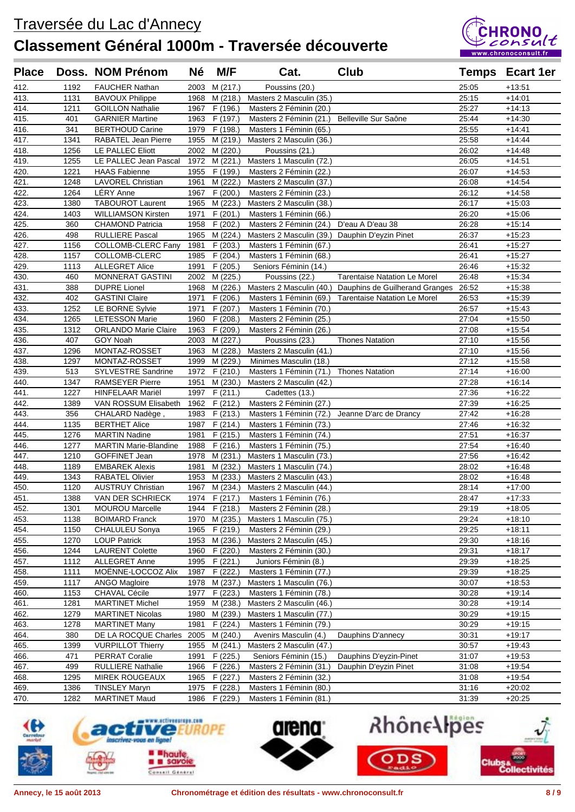

| <b>Place</b> |              | Doss. NOM Prénom               | <b>Né</b>    | M/F                  | Cat.                                               | <b>Club</b>                                             |                | <b>Temps</b> Ecart 1er |
|--------------|--------------|--------------------------------|--------------|----------------------|----------------------------------------------------|---------------------------------------------------------|----------------|------------------------|
| 412.         | 1192         | <b>FAUCHER Nathan</b>          | 2003         | M (217.)             | Poussins (20.)                                     |                                                         | 25:05          | $+13.51$               |
| 413.         | 1131         | <b>BAVOUX Philippe</b>         | 1968         | M (218.)             | Masters 2 Masculin (35.)                           |                                                         | 25:15          | $+14.01$               |
| 414.         | 1211         | <b>GOILLON Nathalie</b>        | 1967         | F (196.)             | Masters 2 Féminin (20.)                            |                                                         | 25:27          | $+14:13$               |
| 415.         | 401          | <b>GARNIER Martine</b>         | 1963         | F (197.)             | Masters 2 Féminin (21.)                            | Belleville Sur Saône                                    | 25:44          | $+14:30$               |
| 416.         | 341          | <b>BERTHOUD Carine</b>         | 1979         | F (198.)             | Masters 1 Féminin (65.)                            |                                                         | 25:55          | $+14.41$               |
| 417.         | 1341         | RABATEL Jean Pierre            | 1955         | M (219.)             | Masters 2 Masculin (36.)                           |                                                         | 25:58          | $+14.44$               |
| 418.         | 1256         | LE PALLEC Eliott               | 2002         | M (220.)             | Poussins (21.)                                     |                                                         | 26:02          | $+14.48$               |
| 419.         | 1255         | LE PALLEC Jean Pascal          | 1972         | M (221.)             | Masters 1 Masculin (72.)                           |                                                         | 26:05          | $+14.51$               |
| 420.         | 1221         | <b>HAAS Fabienne</b>           | 1955         | F (199.)             | Masters 2 Féminin (22.)                            |                                                         | 26:07          | $+14.53$               |
| 421.         | 1248         | <b>LAVOREL Christian</b>       | 1961         | M (222.)             | Masters 2 Masculin (37.)                           |                                                         | 26:08          | $+14:54$               |
| 422.         | 1264         | LÉRY Anne                      | 1967         | F(200.)              | Masters 2 Féminin (23.)                            |                                                         | 26:12          | $+14:58$               |
| 423.         | 1380         | <b>TABOUROT Laurent</b>        | 1965         | M (223.)             | Masters 2 Masculin (38.)                           |                                                         | 26:17          | $+15:03$               |
| 424.         | 1403         | <b>WILLIAMSON Kirsten</b>      | 1971         | F (201.)             | Masters 1 Féminin (66.)                            |                                                         | 26:20          | $+15:06$               |
| 425.         | 360          | <b>CHAMOND Patricia</b>        | 1958         | F (202.)             | Masters 2 Féminin (24.)                            | D'eau A D'eau 38                                        | 26:28          | $+15:14$               |
| 426.         | 498          | <b>RULLIERE Pascal</b>         | 1965         | M (224.)             | Masters 2 Masculin (39.) Dauphin D'eyzin Pinet     |                                                         | 26:37          | $+15:23$               |
| 427.         | 1156         | COLLOMB-CLERC Fany             | 1981         | F (203.)             | Masters 1 Féminin (67.)                            |                                                         | 26:41          | $+15:27$               |
| 428.         | 1157         | COLLOMB-CLERC                  | 1985         | F(204.)              | Masters 1 Féminin (68.)                            |                                                         | 26:41          | $+15:27$               |
| 429.         | 1113         | <b>ALLEGRET Alice</b>          | 1991         | F (205.)             | Seniors Féminin (14.)                              |                                                         | 26:46          | $+15:32$               |
| 430.         | 460          | <b>MONNERAT GASTINI</b>        | 2002         | M (225.)             | Poussins (22.)                                     | <b>Tarentaise Natation Le Morel</b>                     | 26:48          | $+15:34$               |
| 431.         | 388          | <b>DUPRE Lionel</b>            | 1968         | M (226.)             |                                                    | Masters 2 Masculin (40.) Dauphins de Guilherand Granges | 26:52          | $+15:38$               |
| 432.         | 402          | <b>GASTINI Claire</b>          | 1971         | F(206.)              | Masters 1 Féminin (69.)                            | <b>Tarentaise Natation Le Morel</b>                     | 26:53          | $+15:39$               |
| 433.         | 1252         | LE BORNE Sylvie                | 1971         | F (207.)             | Masters 1 Féminin (70.)                            |                                                         | 26:57          | $+15.43$               |
| 434.         | 1265         | <b>LETESSON Marie</b>          | 1960         | F(208.)              | Masters 2 Féminin (25.)                            |                                                         | 27:04          | $+15:50$               |
| 435.         | 1312         | <b>ORLANDO Marie Claire</b>    | 1963         | F(209.)              | Masters 2 Féminin (26.)                            |                                                         | 27:08          | $+15:54$               |
| 436.<br>437. | 407<br>1296  | GOY Noah                       | 2003<br>1963 | M (227.)             | Poussins (23.)                                     | <b>Thones Natation</b>                                  | 27:10          | $+15:56$               |
| 438.         | 1297         | MONTAZ-ROSSET<br>MONTAZ-ROSSET | 1999         | M (228.)<br>M (229.) | Masters 2 Masculin (41.)<br>Minimes Masculin (18.) |                                                         | 27:10<br>27:12 | $+15:56$<br>$+15.58$   |
| 439.         | 513          | SYLVESTRE Sandrine             | 1972         | F (210.)             | Masters 1 Féminin (71.)                            | <b>Thones Natation</b>                                  | 27:14          | $+16:00$               |
| 440.         | 1347         | <b>RAMSEYER Pierre</b>         | 1951         | M (230.)             | Masters 2 Masculin (42.)                           |                                                         | 27:28          | $+16:14$               |
| 441.         | 1227         | <b>HINFELAAR Mariël</b>        | 1997         | F (211.)             | Cadettes (13.)                                     |                                                         | 27:36          | $+16:22$               |
| 442.         | 1389         | VAN ROSSUM Elisabeth           | 1962         | F (212.)             | Masters 2 Féminin (27.)                            |                                                         | 27:39          | $+16:25$               |
| 443.         | 356          | CHALARD Nadège,                | 1983         | F(213.)              | Masters 1 Féminin (72.)                            | Jeanne D'arc de Drancy                                  | 27:42          | $+16:28$               |
| 444.         | 1135         | <b>BERTHET Alice</b>           | 1987         | F (214.)             | Masters 1 Féminin (73.)                            |                                                         | 27:46          | $+16.32$               |
| 445.         | 1276         | <b>MARTIN Nadine</b>           | 1981         | F(215.)              | Masters 1 Féminin (74.)                            |                                                         | 27:51          | $+16:37$               |
| 446.         | 1277         | <b>MARTIN Marie-Blandine</b>   | 1988         | F (216.)             | Masters 1 Féminin (75.)                            |                                                         | 27:54          | $+16:40$               |
| 447.         | 1210         | GOFFINET Jean                  | 1978         | M (231.)             | Masters 1 Masculin (73.)                           |                                                         | 27:56          | $+16:42$               |
| 448.         | 1189         | <b>EMBAREK Alexis</b>          | 1981         | M (232.)             | Masters 1 Masculin (74.)                           |                                                         | 28:02          | $+16:48$               |
| 449.         | 1343         | <b>RABATEL Olivier</b>         | 1953         | M (233.)             | Masters 2 Masculin (43.)                           |                                                         | 28:02          | $+16.48$               |
| 450.         | 1120         | <b>AUSTRUY Christian</b>       | 1967         | M (234.)             | Masters 2 Masculin (44.)                           |                                                         | 28:14          | $+17:00$               |
| 451.         | 1388         | VAN DER SCHRIECK               |              | 1974 F (217.)        | Masters 1 Féminin (76.)                            |                                                         | 28:47          | $+17:33$               |
| 452.         | 1301         | <b>MOUROU Marcelle</b>         |              | 1944 F (218.)        | Masters 2 Féminin (28.)                            |                                                         | 29:19          | $+18:05$               |
| 453.         | 1138         | <b>BOIMARD Franck</b>          | 1970         | M (235.)             | Masters 1 Masculin (75.)                           |                                                         | 29:24          | $+18:10$               |
| 454.         | 1150         | CHALULEU Sonya                 | 1965         | F (219.)             | Masters 2 Féminin (29.)                            |                                                         | 29:25          | $+18:11$               |
| 455.         | 1270         | <b>LOUP Patrick</b>            | 1953         | M (236.)             | Masters 2 Masculin (45.)                           |                                                         | 29:30          | $+18:16$               |
| 456.         | 1244         | <b>LAURENT Colette</b>         | 1960         | F (220.)             | Masters 2 Féminin (30.)                            |                                                         | 29:31          | $+18:17$               |
| 457.         | 1112         | <b>ALLEGRET Anne</b>           | 1995         | F (221.)             | Juniors Féminin (8.)                               |                                                         | 29:39          | $+18:25$               |
| 458.         | 1111         | MOËNNE-LOCCOZ Alix             | 1987         | F (222.)             | Masters 1 Féminin (77.)                            |                                                         | 29:39          | +18:25                 |
| 459.         | 1117         | <b>ANGO Magloire</b>           | 1978         | M (237.)             | Masters 1 Masculin (76.)                           |                                                         | 30:07          | +18:53                 |
| 460.         | 1153         | <b>CHAVAL Cécile</b>           | 1977         | F (223.)             | Masters 1 Féminin (78.)                            |                                                         | 30:28          | $+19:14$               |
| 461.         | 1281         | <b>MARTINET Michel</b>         | 1959         | M (238.)             | Masters 2 Masculin (46.)                           |                                                         | 30:28          | $+19:14$               |
| 462.         | 1279         | <b>MARTINET Nicolas</b>        | 1980         | M (239.)             | Masters 1 Masculin (77.)                           |                                                         | 30:29          | $+19:15$               |
| 463.         | 1278         | <b>MARTINET Many</b>           | 1981         | F (224.)             | Masters 1 Féminin (79.)                            |                                                         | 30:29          | +19:15                 |
| 464.         | 380          | DE LA ROCQUE Charles           | 2005         | M (240.)             | Avenirs Masculin (4.)                              | Dauphins D'annecy                                       | 30:31          | $+19:17$               |
| 465.         | 1399         | <b>VURPILLOT Thierry</b>       | 1955         | M(241.)              | Masters 2 Masculin (47.)                           |                                                         | 30:57          | $+19:43$               |
| 466.         | 471          | <b>PERRAT Coralie</b>          | 1991         | F (225.)             | Seniors Féminin (15.)                              | Dauphins D'eyzin-Pinet                                  | 31:07          | $+19:53$               |
| 467.         | 499          | <b>RULLIERE Nathalie</b>       | 1966         | F (226.)             | Masters 2 Féminin (31.)                            | Dauphin D'eyzin Pinet                                   | 31:08          | $+19:54$               |
| 468.         | 1295<br>1386 | MIREK ROUGEAUX                 | 1965         | F (227.)             | Masters 2 Féminin (32.)                            |                                                         | 31:08          | $+19:54$               |
| 469.         | 1282         | <b>TINSLEY Maryn</b>           | 1975         | F (228.)<br>F (229.) | Masters 1 Féminin (80.)                            |                                                         | 31:16<br>31:39 | +20:02                 |
| 470.         |              | <b>MARTINET Maud</b>           | 1986         |                      | Masters 1 Féminin (81.)                            |                                                         |                | +20:25                 |